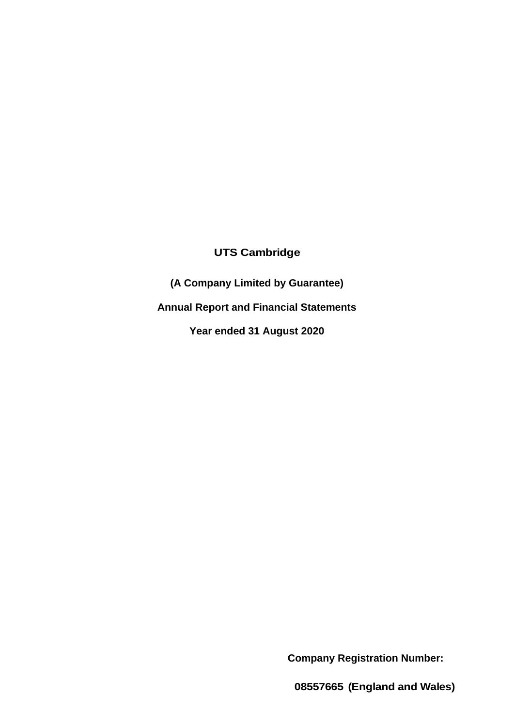# **UTS Cambridge**

**(A Company Limited by Guarantee) Annual Report and Financial Statements Year ended 31 August 2020**

**Company Registration Number:**

**08557665 (England and Wales)**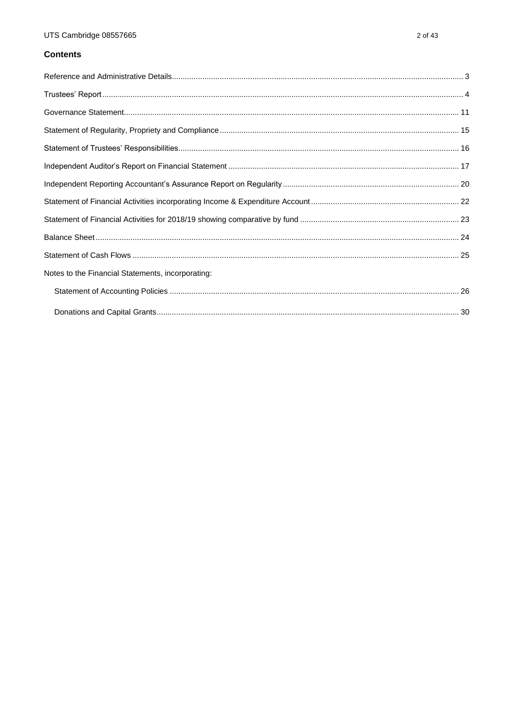# **Contents**

| Notes to the Financial Statements, incorporating: |  |
|---------------------------------------------------|--|
|                                                   |  |
|                                                   |  |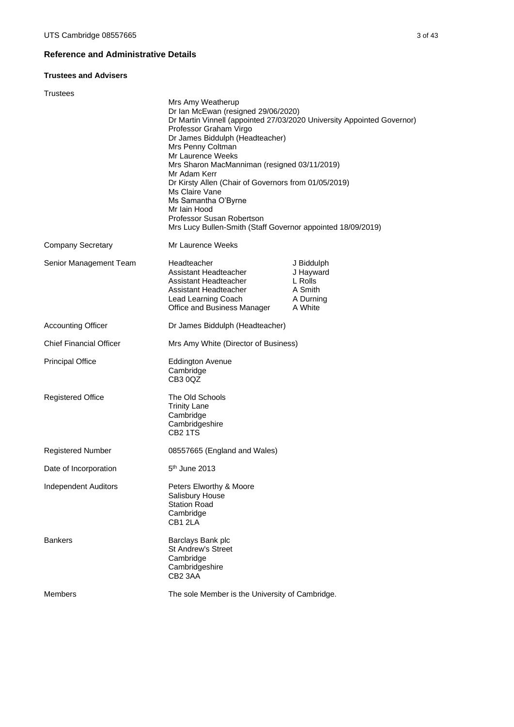# <span id="page-2-0"></span>**Reference and Administrative Details**

# **Trustees and Advisers**

| Trustees                       |                                                                                                                                                                                                                                                                                                                                                                                                                                              |                                                                        |
|--------------------------------|----------------------------------------------------------------------------------------------------------------------------------------------------------------------------------------------------------------------------------------------------------------------------------------------------------------------------------------------------------------------------------------------------------------------------------------------|------------------------------------------------------------------------|
|                                | Mrs Amy Weatherup<br>Dr Ian McEwan (resigned 29/06/2020)<br>Professor Graham Virgo<br>Dr James Biddulph (Headteacher)<br>Mrs Penny Coltman<br>Mr Laurence Weeks<br>Mrs Sharon MacManniman (resigned 03/11/2019)<br>Mr Adam Kerr<br>Dr Kirsty Allen (Chair of Governors from 01/05/2019)<br>Ms Claire Vane<br>Ms Samantha O'Byrne<br>Mr Iain Hood<br>Professor Susan Robertson<br>Mrs Lucy Bullen-Smith (Staff Governor appointed 18/09/2019) | Dr Martin Vinnell (appointed 27/03/2020 University Appointed Governor) |
| <b>Company Secretary</b>       | Mr Laurence Weeks                                                                                                                                                                                                                                                                                                                                                                                                                            |                                                                        |
| Senior Management Team         | Headteacher<br>Assistant Headteacher<br>Assistant Headteacher<br>Assistant Headteacher<br>Lead Learning Coach<br>Office and Business Manager                                                                                                                                                                                                                                                                                                 | J Biddulph<br>J Hayward<br>L Rolls<br>A Smith<br>A Durning<br>A White  |
| <b>Accounting Officer</b>      | Dr James Biddulph (Headteacher)                                                                                                                                                                                                                                                                                                                                                                                                              |                                                                        |
| <b>Chief Financial Officer</b> | Mrs Amy White (Director of Business)                                                                                                                                                                                                                                                                                                                                                                                                         |                                                                        |
| <b>Principal Office</b>        | <b>Eddington Avenue</b><br>Cambridge<br>CB30QZ                                                                                                                                                                                                                                                                                                                                                                                               |                                                                        |
| <b>Registered Office</b>       | The Old Schools<br><b>Trinity Lane</b><br>Cambridge<br>Cambridgeshire<br>CB <sub>2</sub> 1TS                                                                                                                                                                                                                                                                                                                                                 |                                                                        |
| <b>Registered Number</b>       | 08557665 (England and Wales)                                                                                                                                                                                                                                                                                                                                                                                                                 |                                                                        |
| Date of Incorporation          | $5th$ June 2013                                                                                                                                                                                                                                                                                                                                                                                                                              |                                                                        |
| <b>Independent Auditors</b>    | Peters Elworthy & Moore<br>Salisbury House<br><b>Station Road</b><br>Cambridge<br>CB1 2LA                                                                                                                                                                                                                                                                                                                                                    |                                                                        |
| <b>Bankers</b>                 | Barclays Bank plc<br><b>St Andrew's Street</b><br>Cambridge<br>Cambridgeshire<br>CB2 3AA                                                                                                                                                                                                                                                                                                                                                     |                                                                        |
| <b>Members</b>                 | The sole Member is the University of Cambridge.                                                                                                                                                                                                                                                                                                                                                                                              |                                                                        |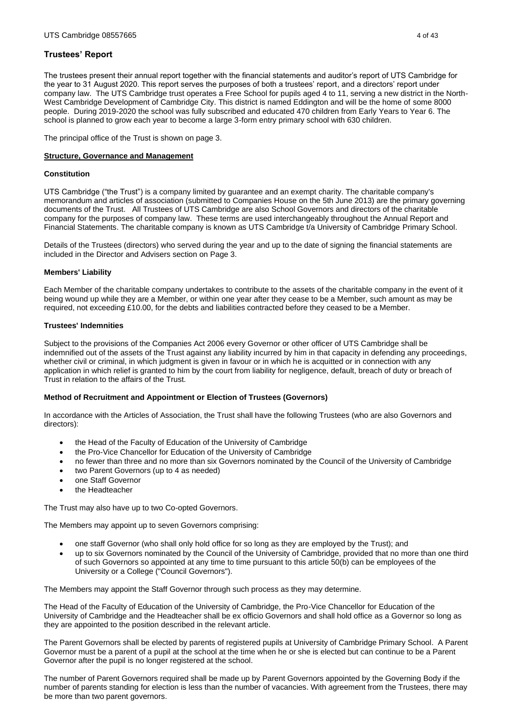<span id="page-3-0"></span>The trustees present their annual report together with the financial statements and auditor's report of UTS Cambridge for the year to 31 August 2020. This report serves the purposes of both a trustees' report, and a directors' report under company law. The UTS Cambridge trust operates a Free School for pupils aged 4 to 11, serving a new district in the North-West Cambridge Development of Cambridge City. This district is named Eddington and will be the home of some 8000 people. During 2019-2020 the school was fully subscribed and educated 470 children from Early Years to Year 6. The school is planned to grow each year to become a large 3-form entry primary school with 630 children.

The principal office of the Trust is shown on page 3.

## **Structure, Governance and Management**

## **Constitution**

UTS Cambridge ("the Trust") is a company limited by guarantee and an exempt charity. The charitable company's memorandum and articles of association (submitted to Companies House on the 5th June 2013) are the primary governing documents of the Trust. All Trustees of UTS Cambridge are also School Governors and directors of the charitable company for the purposes of company law. These terms are used interchangeably throughout the Annual Report and Financial Statements. The charitable company is known as UTS Cambridge t/a University of Cambridge Primary School.

Details of the Trustees (directors) who served during the year and up to the date of signing the financial statements are included in the Director and Advisers section on Page 3.

## **Members' Liability**

Each Member of the charitable company undertakes to contribute to the assets of the charitable company in the event of it being wound up while they are a Member, or within one year after they cease to be a Member, such amount as may be required, not exceeding £10.00, for the debts and liabilities contracted before they ceased to be a Member.

# **Trustees' Indemnities**

Subject to the provisions of the Companies Act 2006 every Governor or other officer of UTS Cambridge shall be indemnified out of the assets of the Trust against any liability incurred by him in that capacity in defending any proceedings, whether civil or criminal, in which judgment is given in favour or in which he is acquitted or in connection with any application in which relief is granted to him by the court from liability for negligence, default, breach of duty or breach of Trust in relation to the affairs of the Trust.

# **Method of Recruitment and Appointment or Election of Trustees (Governors)**

In accordance with the Articles of Association, the Trust shall have the following Trustees (who are also Governors and directors):

- the Head of the Faculty of Education of the University of Cambridge
- the Pro-Vice Chancellor for Education of the University of Cambridge
- no fewer than three and no more than six Governors nominated by the Council of the University of Cambridge
- two Parent Governors (up to 4 as needed)
- one Staff Governor
- the Headteacher

The Trust may also have up to two Co-opted Governors.

The Members may appoint up to seven Governors comprising:

- one staff Governor (who shall only hold office for so long as they are employed by the Trust); and
- up to six Governors nominated by the Council of the University of Cambridge, provided that no more than one third of such Governors so appointed at any time to time pursuant to this article 50(b) can be employees of the University or a College ("Council Governors").

The Members may appoint the Staff Governor through such process as they may determine.

The Head of the Faculty of Education of the University of Cambridge, the Pro-Vice Chancellor for Education of the University of Cambridge and the Headteacher shall be ex officio Governors and shall hold office as a Governor so long as they are appointed to the position described in the relevant article.

The Parent Governors shall be elected by parents of registered pupils at University of Cambridge Primary School. A Parent Governor must be a parent of a pupil at the school at the time when he or she is elected but can continue to be a Parent Governor after the pupil is no longer registered at the school.

The number of Parent Governors required shall be made up by Parent Governors appointed by the Governing Body if the number of parents standing for election is less than the number of vacancies. With agreement from the Trustees, there may be more than two parent governors.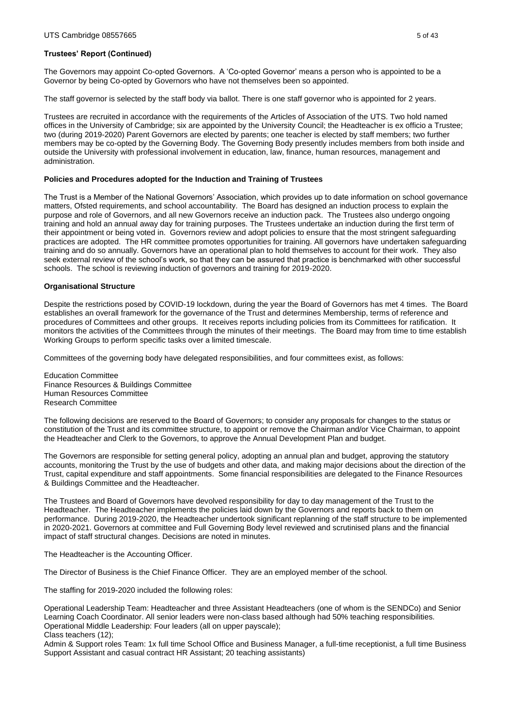The Governors may appoint Co-opted Governors. A 'Co-opted Governor' means a person who is appointed to be a Governor by being Co-opted by Governors who have not themselves been so appointed.

The staff governor is selected by the staff body via ballot. There is one staff governor who is appointed for 2 years.

Trustees are recruited in accordance with the requirements of the Articles of Association of the UTS. Two hold named offices in the University of Cambridge; six are appointed by the University Council; the Headteacher is ex officio a Trustee; two (during 2019-2020) Parent Governors are elected by parents; one teacher is elected by staff members; two further members may be co-opted by the Governing Body. The Governing Body presently includes members from both inside and outside the University with professional involvement in education, law, finance, human resources, management and administration.

#### **Policies and Procedures adopted for the Induction and Training of Trustees**

The Trust is a Member of the National Governors' Association, which provides up to date information on school governance matters, Ofsted requirements, and school accountability. The Board has designed an induction process to explain the purpose and role of Governors, and all new Governors receive an induction pack. The Trustees also undergo ongoing training and hold an annual away day for training purposes. The Trustees undertake an induction during the first term of their appointment or being voted in. Governors review and adopt policies to ensure that the most stringent safeguarding practices are adopted. The HR committee promotes opportunities for training. All governors have undertaken safeguarding training and do so annually. Governors have an operational plan to hold themselves to account for their work. They also seek external review of the school's work, so that they can be assured that practice is benchmarked with other successful schools. The school is reviewing induction of governors and training for 2019-2020.

#### **Organisational Structure**

Despite the restrictions posed by COVID-19 lockdown, during the year the Board of Governors has met 4 times. The Board establishes an overall framework for the governance of the Trust and determines Membership, terms of reference and procedures of Committees and other groups. It receives reports including policies from its Committees for ratification. It monitors the activities of the Committees through the minutes of their meetings. The Board may from time to time establish Working Groups to perform specific tasks over a limited timescale.

Committees of the governing body have delegated responsibilities, and four committees exist, as follows:

Education Committee Finance Resources & Buildings Committee Human Resources Committee Research Committee

The following decisions are reserved to the Board of Governors; to consider any proposals for changes to the status or constitution of the Trust and its committee structure, to appoint or remove the Chairman and/or Vice Chairman, to appoint the Headteacher and Clerk to the Governors, to approve the Annual Development Plan and budget.

The Governors are responsible for setting general policy, adopting an annual plan and budget, approving the statutory accounts, monitoring the Trust by the use of budgets and other data, and making major decisions about the direction of the Trust, capital expenditure and staff appointments. Some financial responsibilities are delegated to the Finance Resources & Buildings Committee and the Headteacher.

The Trustees and Board of Governors have devolved responsibility for day to day management of the Trust to the Headteacher. The Headteacher implements the policies laid down by the Governors and reports back to them on performance. During 2019-2020, the Headteacher undertook significant replanning of the staff structure to be implemented in 2020-2021. Governors at committee and Full Governing Body level reviewed and scrutinised plans and the financial impact of staff structural changes. Decisions are noted in minutes.

The Headteacher is the Accounting Officer.

The Director of Business is the Chief Finance Officer. They are an employed member of the school.

The staffing for 2019-2020 included the following roles:

Operational Leadership Team: Headteacher and three Assistant Headteachers (one of whom is the SENDCo) and Senior Learning Coach Coordinator. All senior leaders were non-class based although had 50% teaching responsibilities. Operational Middle Leadership: Four leaders (all on upper payscale); Class teachers (12);

Admin & Support roles Team: 1x full time School Office and Business Manager, a full-time receptionist, a full time Business Support Assistant and casual contract HR Assistant; 20 teaching assistants)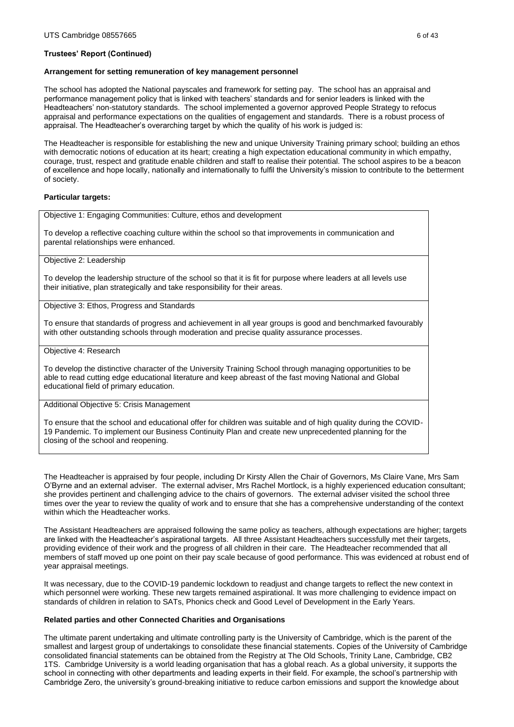#### **Arrangement for setting remuneration of key management personnel**

The school has adopted the National payscales and framework for setting pay. The school has an appraisal and performance management policy that is linked with teachers' standards and for senior leaders is linked with the Headteachers' non-statutory standards. The school implemented a governor approved People Strategy to refocus appraisal and performance expectations on the qualities of engagement and standards. There is a robust process of appraisal. The Headteacher's overarching target by which the quality of his work is judged is:

The Headteacher is responsible for establishing the new and unique University Training primary school; building an ethos with democratic notions of education at its heart; creating a high expectation educational community in which empathy, courage, trust, respect and gratitude enable children and staff to realise their potential. The school aspires to be a beacon of excellence and hope locally, nationally and internationally to fulfil the University's mission to contribute to the betterment of society.

#### **Particular targets:**

Objective 1: Engaging Communities: Culture, ethos and development

To develop a reflective coaching culture within the school so that improvements in communication and parental relationships were enhanced.

Objective 2: Leadership

To develop the leadership structure of the school so that it is fit for purpose where leaders at all levels use their initiative, plan strategically and take responsibility for their areas.

Objective 3: Ethos, Progress and Standards

To ensure that standards of progress and achievement in all year groups is good and benchmarked favourably with other outstanding schools through moderation and precise quality assurance processes*.*

#### Objective 4: Research

To develop the distinctive character of the University Training School through managing opportunities to be able to read cutting edge educational literature and keep abreast of the fast moving National and Global educational field of primary education.

#### Additional Objective 5: Crisis Management

To ensure that the school and educational offer for children was suitable and of high quality during the COVID-19 Pandemic. To implement our Business Continuity Plan and create new unprecedented planning for the closing of the school and reopening.

The Headteacher is appraised by four people, including Dr Kirsty Allen the Chair of Governors, Ms Claire Vane, Mrs Sam O'Byrne and an external adviser. The external adviser, Mrs Rachel Mortlock, is a highly experienced education consultant; she provides pertinent and challenging advice to the chairs of governors. The external adviser visited the school three times over the year to review the quality of work and to ensure that she has a comprehensive understanding of the context within which the Headteacher works.

The Assistant Headteachers are appraised following the same policy as teachers, although expectations are higher; targets are linked with the Headteacher's aspirational targets. All three Assistant Headteachers successfully met their targets, providing evidence of their work and the progress of all children in their care. The Headteacher recommended that all members of staff moved up one point on their pay scale because of good performance. This was evidenced at robust end of year appraisal meetings.

It was necessary, due to the COVID-19 pandemic lockdown to readjust and change targets to reflect the new context in which personnel were working. These new targets remained aspirational. It was more challenging to evidence impact on standards of children in relation to SATs, Phonics check and Good Level of Development in the Early Years.

#### **Related parties and other Connected Charities and Organisations**

The ultimate parent undertaking and ultimate controlling party is the University of Cambridge, which is the parent of the smallest and largest group of undertakings to consolidate these financial statements. Copies of the University of Cambridge consolidated financial statements can be obtained from the Registry at The Old Schools, Trinity Lane, Cambridge, CB2 1TS. Cambridge University is a world leading organisation that has a global reach. As a global university, it supports the school in connecting with other departments and leading experts in their field. For example, the school's partnership with Cambridge Zero, the university's ground-breaking initiative to reduce carbon emissions and support the knowledge about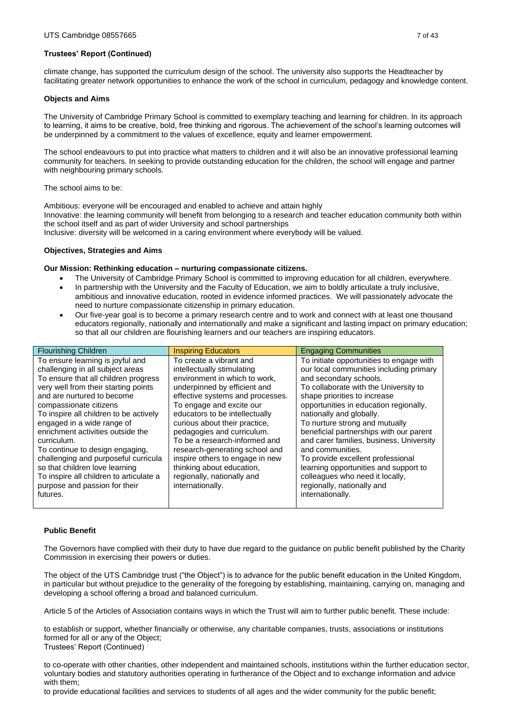climate change, has supported the curriculum design of the school. The university also supports the Headteacher by facilitating greater network opportunities to enhance the work of the school in curriculum, pedagogy and knowledge content.

### **Objects and Aims**

The University of Cambridge Primary School is committed to exemplary teaching and learning for children. In its approach to learning, it aims to be creative, bold, free thinking and rigorous. The achievement of the school's learning outcomes will be underpinned by a commitment to the values of excellence, equity and learner empowerment.

The school endeavours to put into practice what matters to children and it will also be an innovative professional learning community for teachers. In seeking to provide outstanding education for the children, the school will engage and partner with neighbouring primary schools.

The school aims to be:

Ambitious: everyone will be encouraged and enabled to achieve and attain highly Innovative: the learning community will benefit from belonging to a research and teacher education community both within the school itself and as part of wider University and school partnerships

Inclusive: diversity will be welcomed in a caring environment where everybody will be valued.

## **Objectives, Strategies and Aims**

## **Our Mission: Rethinking education – nurturing compassionate citizens.**

- The University of Cambridge Primary School is committed to improving education for all children, everywhere.
- In partnership with the University and the Faculty of Education, we aim to boldly articulate a truly inclusive, ambitious and innovative education, rooted in evidence informed practices. We will passionately advocate the need to nurture compassionate citizenship in primary education.
- Our five-year goal is to become a primary research centre and to work and connect with at least one thousand educators regionally, nationally and internationally and make a significant and lasting impact on primary education; so that all our children are flourishing learners and our teachers are inspiring educators.

| <b>Flourishing Children</b>                                                                                                                                                                                                                                                                                                                                                                                                                           | <b>Inspiring Educators</b>                                                                                                                                                                                                                                                                                                                                                                                                 | <b>Engaging Communities</b>                                                                                                                                                                                                                                                                                                                                                                                                                                                             |
|-------------------------------------------------------------------------------------------------------------------------------------------------------------------------------------------------------------------------------------------------------------------------------------------------------------------------------------------------------------------------------------------------------------------------------------------------------|----------------------------------------------------------------------------------------------------------------------------------------------------------------------------------------------------------------------------------------------------------------------------------------------------------------------------------------------------------------------------------------------------------------------------|-----------------------------------------------------------------------------------------------------------------------------------------------------------------------------------------------------------------------------------------------------------------------------------------------------------------------------------------------------------------------------------------------------------------------------------------------------------------------------------------|
| To ensure learning is joyful and<br>challenging in all subject areas<br>To ensure that all children progress<br>very well from their starting points<br>and are nurtured to become<br>compassionate citizens<br>To inspire all children to be actively<br>engaged in a wide range of<br>enrichment activities outside the<br>curriculum.<br>To continue to design engaging,<br>challenging and purposeful curricula<br>so that children love learning | To create a vibrant and<br>intellectually stimulating<br>environment in which to work,<br>underpinned by efficient and<br>effective systems and processes.<br>To engage and excite our<br>educators to be intellectually<br>curious about their practice,<br>pedagogies and curriculum.<br>To be a research-informed and<br>research-generating school and<br>inspire others to engage in new<br>thinking about education, | To initiate opportunities to engage with<br>our local communities including primary<br>and secondary schools.<br>To collaborate with the University to<br>shape priorities to increase<br>opportunities in education regionally,<br>nationally and globally.<br>To nurture strong and mutually<br>beneficial partnerships with our parent<br>and carer families, business, University<br>and communities.<br>To provide excellent professional<br>learning opportunities and support to |
| To inspire all children to articulate a<br>purpose and passion for their<br>futures.                                                                                                                                                                                                                                                                                                                                                                  | regionally, nationally and<br>internationally.                                                                                                                                                                                                                                                                                                                                                                             | colleagues who need it locally,<br>regionally, nationally and<br>internationally.                                                                                                                                                                                                                                                                                                                                                                                                       |
|                                                                                                                                                                                                                                                                                                                                                                                                                                                       |                                                                                                                                                                                                                                                                                                                                                                                                                            |                                                                                                                                                                                                                                                                                                                                                                                                                                                                                         |

#### **Public Benefit**

The Governors have complied with their duty to have due regard to the guidance on public benefit published by the Charity Commission in exercising their powers or duties.

The object of the UTS Cambridge trust ("the Object") is to advance for the public benefit education in the United Kingdom, in particular but without prejudice to the generality of the foregoing by establishing, maintaining, carrying on, managing and developing a school offering a broad and balanced curriculum.

Article 5 of the Articles of Association contains ways in which the Trust will aim to further public benefit. These include:

to establish or support, whether financially or otherwise, any charitable companies, trusts, associations or institutions formed for all or any of the Object; Trustees' Report (Continued)

to co-operate with other charities, other independent and maintained schools, institutions within the further education sector, voluntary bodies and statutory authorities operating in furtherance of the Object and to exchange information and advice with them;

to provide educational facilities and services to students of all ages and the wider community for the public benefit;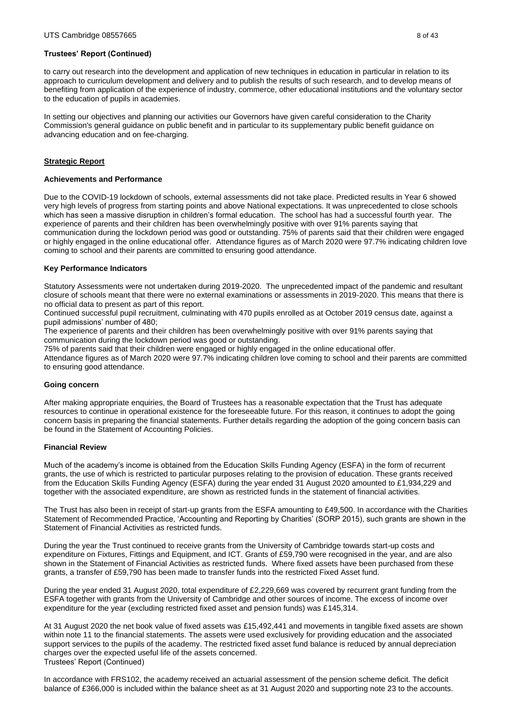to carry out research into the development and application of new techniques in education in particular in relation to its approach to curriculum development and delivery and to publish the results of such research, and to develop means of benefiting from application of the experience of industry, commerce, other educational institutions and the voluntary sector to the education of pupils in academies.

In setting our objectives and planning our activities our Governors have given careful consideration to the Charity Commission's general guidance on public benefit and in particular to its supplementary public benefit guidance on advancing education and on fee-charging.

## **Strategic Report**

#### **Achievements and Performance**

Due to the COVID-19 lockdown of schools, external assessments did not take place. Predicted results in Year 6 showed very high levels of progress from starting points and above National expectations. It was unprecedented to close schools which has seen a massive disruption in children's formal education. The school has had a successful fourth year. The experience of parents and their children has been overwhelmingly positive with over 91% parents saying that communication during the lockdown period was good or outstanding. 75% of parents said that their children were engaged or highly engaged in the online educational offer. Attendance figures as of March 2020 were 97.7% indicating children love coming to school and their parents are committed to ensuring good attendance.

#### **Key Performance Indicators**

Statutory Assessments were not undertaken during 2019-2020. The unprecedented impact of the pandemic and resultant closure of schools meant that there were no external examinations or assessments in 2019-2020. This means that there is no official data to present as part of this report.

Continued successful pupil recruitment, culminating with 470 pupils enrolled as at October 2019 census date, against a pupil admissions' number of 480;

The experience of parents and their children has been overwhelmingly positive with over 91% parents saying that communication during the lockdown period was good or outstanding.

75% of parents said that their children were engaged or highly engaged in the online educational offer.

Attendance figures as of March 2020 were 97.7% indicating children love coming to school and their parents are committed to ensuring good attendance.

#### **Going concern**

After making appropriate enquiries, the Board of Trustees has a reasonable expectation that the Trust has adequate resources to continue in operational existence for the foreseeable future. For this reason, it continues to adopt the going concern basis in preparing the financial statements. Further details regarding the adoption of the going concern basis can be found in the Statement of Accounting Policies.

#### **Financial Review**

Much of the academy's income is obtained from the Education Skills Funding Agency (ESFA) in the form of recurrent grants, the use of which is restricted to particular purposes relating to the provision of education. These grants received from the Education Skills Funding Agency (ESFA) during the year ended 31 August 2020 amounted to £1,934,229 and together with the associated expenditure, are shown as restricted funds in the statement of financial activities.

The Trust has also been in receipt of start-up grants from the ESFA amounting to £49,500. In accordance with the Charities Statement of Recommended Practice, 'Accounting and Reporting by Charities' (SORP 2015), such grants are shown in the Statement of Financial Activities as restricted funds.

During the year the Trust continued to receive grants from the University of Cambridge towards start-up costs and expenditure on Fixtures, Fittings and Equipment, and ICT. Grants of £59,790 were recognised in the year, and are also shown in the Statement of Financial Activities as restricted funds. Where fixed assets have been purchased from these grants, a transfer of £59,790 has been made to transfer funds into the restricted Fixed Asset fund.

During the year ended 31 August 2020, total expenditure of £2,229,669 was covered by recurrent grant funding from the ESFA together with grants from the University of Cambridge and other sources of income. The excess of income over expenditure for the year (excluding restricted fixed asset and pension funds) was £145,314.

At 31 August 2020 the net book value of fixed assets was £15,492,441 and movements in tangible fixed assets are shown within note 11 to the financial statements. The assets were used exclusively for providing education and the associated support services to the pupils of the academy. The restricted fixed asset fund balance is reduced by annual depreciation charges over the expected useful life of the assets concerned. Trustees' Report (Continued)

In accordance with FRS102, the academy received an actuarial assessment of the pension scheme deficit. The deficit balance of £366,000 is included within the balance sheet as at 31 August 2020 and supporting note 23 to the accounts.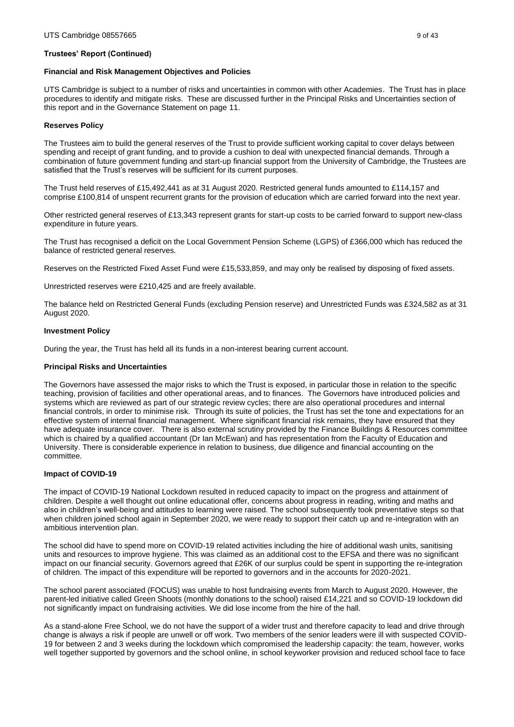#### **Financial and Risk Management Objectives and Policies**

UTS Cambridge is subject to a number of risks and uncertainties in common with other Academies. The Trust has in place procedures to identify and mitigate risks. These are discussed further in the Principal Risks and Uncertainties section of this report and in the Governance Statement on page 11.

### **Reserves Policy**

The Trustees aim to build the general reserves of the Trust to provide sufficient working capital to cover delays between spending and receipt of grant funding, and to provide a cushion to deal with unexpected financial demands. Through a combination of future government funding and start-up financial support from the University of Cambridge, the Trustees are satisfied that the Trust's reserves will be sufficient for its current purposes.

The Trust held reserves of £15,492,441 as at 31 August 2020. Restricted general funds amounted to £114,157 and comprise £100,814 of unspent recurrent grants for the provision of education which are carried forward into the next year.

Other restricted general reserves of £13,343 represent grants for start-up costs to be carried forward to support new-class expenditure in future years.

The Trust has recognised a deficit on the Local Government Pension Scheme (LGPS) of £366,000 which has reduced the balance of restricted general reserves.

Reserves on the Restricted Fixed Asset Fund were £15,533,859, and may only be realised by disposing of fixed assets.

Unrestricted reserves were £210,425 and are freely available.

The balance held on Restricted General Funds (excluding Pension reserve) and Unrestricted Funds was £324,582 as at 31 August 2020.

#### **Investment Policy**

During the year, the Trust has held all its funds in a non-interest bearing current account.

#### **Principal Risks and Uncertainties**

The Governors have assessed the major risks to which the Trust is exposed, in particular those in relation to the specific teaching, provision of facilities and other operational areas, and to finances. The Governors have introduced policies and systems which are reviewed as part of our strategic review cycles; there are also operational procedures and internal financial controls, in order to minimise risk. Through its suite of policies, the Trust has set the tone and expectations for an effective system of internal financial management. Where significant financial risk remains, they have ensured that they have adequate insurance cover. There is also external scrutiny provided by the Finance Buildings & Resources committee which is chaired by a qualified accountant (Dr Ian McEwan) and has representation from the Faculty of Education and University. There is considerable experience in relation to business, due diligence and financial accounting on the committee.

#### **Impact of COVID-19**

The impact of COVID-19 National Lockdown resulted in reduced capacity to impact on the progress and attainment of children. Despite a well thought out online educational offer, concerns about progress in reading, writing and maths and also in children's well-being and attitudes to learning were raised. The school subsequently took preventative steps so that when children joined school again in September 2020, we were ready to support their catch up and re-integration with an ambitious intervention plan.

The school did have to spend more on COVID-19 related activities including the hire of additional wash units, sanitising units and resources to improve hygiene. This was claimed as an additional cost to the EFSA and there was no significant impact on our financial security. Governors agreed that £26K of our surplus could be spent in supporting the re-integration of children. The impact of this expenditure will be reported to governors and in the accounts for 2020-2021.

The school parent associated (FOCUS) was unable to host fundraising events from March to August 2020. However, the parent-led initiative called Green Shoots (monthly donations to the school) raised £14,221 and so COVID-19 lockdown did not significantly impact on fundraising activities. We did lose income from the hire of the hall.

As a stand-alone Free School, we do not have the support of a wider trust and therefore capacity to lead and drive through change is always a risk if people are unwell or off work. Two members of the senior leaders were ill with suspected COVID-19 for between 2 and 3 weeks during the lockdown which compromised the leadership capacity: the team, however, works well together supported by governors and the school online, in school keyworker provision and reduced school face to face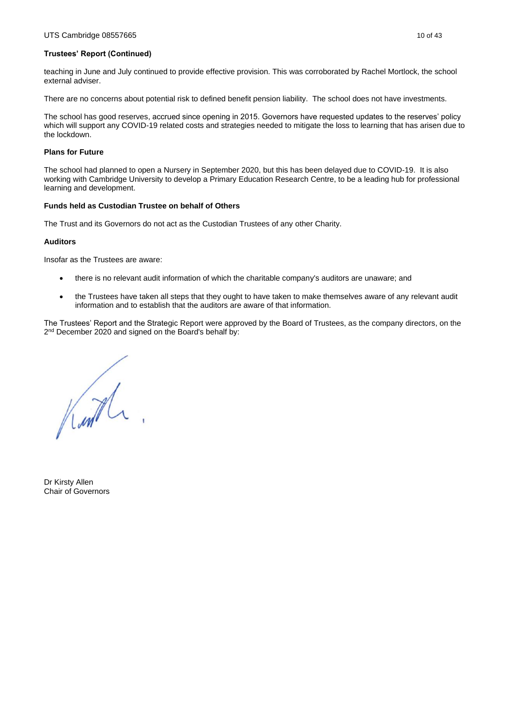teaching in June and July continued to provide effective provision. This was corroborated by Rachel Mortlock, the school external adviser.

There are no concerns about potential risk to defined benefit pension liability. The school does not have investments.

The school has good reserves, accrued since opening in 2015. Governors have requested updates to the reserves' policy which will support any COVID-19 related costs and strategies needed to mitigate the loss to learning that has arisen due to the lockdown.

### **Plans for Future**

The school had planned to open a Nursery in September 2020, but this has been delayed due to COVID-19. It is also working with Cambridge University to develop a Primary Education Research Centre, to be a leading hub for professional learning and development.

#### **Funds held as Custodian Trustee on behalf of Others**

The Trust and its Governors do not act as the Custodian Trustees of any other Charity.

## **Auditors**

Insofar as the Trustees are aware:

- there is no relevant audit information of which the charitable company's auditors are unaware; and
- the Trustees have taken all steps that they ought to have taken to make themselves aware of any relevant audit information and to establish that the auditors are aware of that information.

The Trustees' Report and the Strategic Report were approved by the Board of Trustees, as the company directors, on the 2<sup>nd</sup> December 2020 and signed on the Board's behalf by:

Kurth.

Dr Kirsty Allen Chair of Governors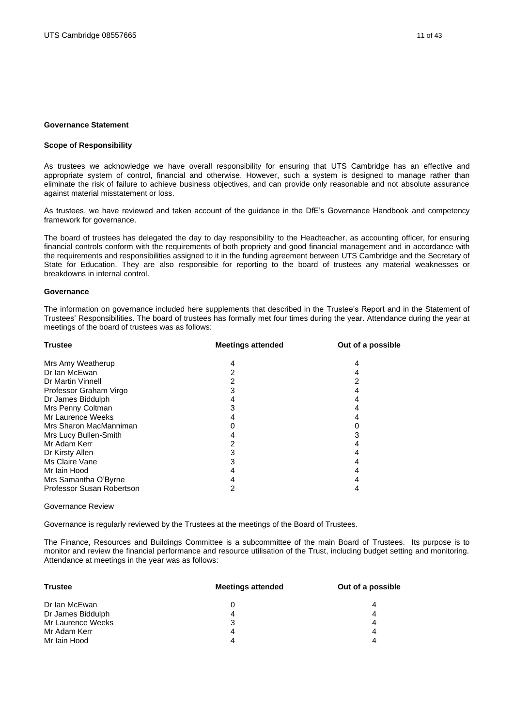#### <span id="page-10-0"></span>**Governance Statement**

# **Scope of Responsibility**

As trustees we acknowledge we have overall responsibility for ensuring that UTS Cambridge has an effective and appropriate system of control, financial and otherwise. However, such a system is designed to manage rather than eliminate the risk of failure to achieve business objectives, and can provide only reasonable and not absolute assurance against material misstatement or loss.

As trustees, we have reviewed and taken account of the guidance in the DfE's Governance Handbook and competency framework for governance.

The board of trustees has delegated the day to day responsibility to the Headteacher, as accounting officer, for ensuring financial controls conform with the requirements of both propriety and good financial management and in accordance with the requirements and responsibilities assigned to it in the funding agreement between UTS Cambridge and the Secretary of State for Education. They are also responsible for reporting to the board of trustees any material weaknesses or breakdowns in internal control.

#### **Governance**

The information on governance included here supplements that described in the Trustee's Report and in the Statement of Trustees' Responsibilities. The board of trustees has formally met four times during the year. Attendance during the year at meetings of the board of trustees was as follows:

| <b>Trustee</b>            | <b>Meetings attended</b> | Out of a possible |
|---------------------------|--------------------------|-------------------|
| Mrs Amy Weatherup         | 4                        | 4                 |
| Dr Ian McEwan             | 2                        | 4                 |
| Dr Martin Vinnell         | 2                        | 2                 |
| Professor Graham Virgo    | 3                        | 4                 |
| Dr James Biddulph         | 4                        | 4                 |
| Mrs Penny Coltman         | 3                        | 4                 |
| Mr Laurence Weeks         |                          |                   |
| Mrs Sharon MacManniman    |                          |                   |
| Mrs Lucy Bullen-Smith     |                          | 3                 |
| Mr Adam Kerr              | 2                        | 4                 |
| Dr Kirsty Allen           | 3                        | 4                 |
| Ms Claire Vane            | 3                        |                   |
| Mr Iain Hood              | 4                        | 4                 |
| Mrs Samantha O'Byrne      | 4                        | 4                 |
| Professor Susan Robertson | 2                        | 4                 |

#### Governance Review

Governance is regularly reviewed by the Trustees at the meetings of the Board of Trustees.

The Finance, Resources and Buildings Committee is a subcommittee of the main Board of Trustees. Its purpose is to monitor and review the financial performance and resource utilisation of the Trust, including budget setting and monitoring. Attendance at meetings in the year was as follows:

| <b>Trustee</b>    | <b>Meetings attended</b> | Out of a possible |
|-------------------|--------------------------|-------------------|
| Dr Ian McEwan     |                          | 4                 |
| Dr James Biddulph | 4                        | 4                 |
| Mr Laurence Weeks |                          | 4                 |
| Mr Adam Kerr      | 4                        | 4                 |
| Mr Iain Hood      |                          | 4                 |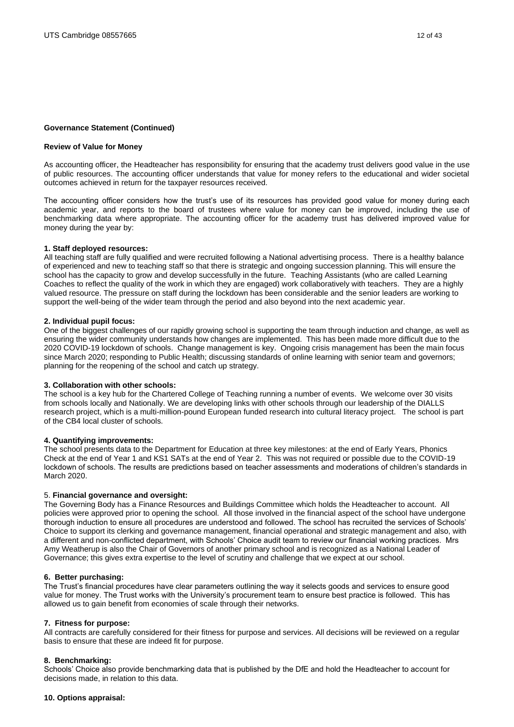#### **Governance Statement (Continued)**

#### **Review of Value for Money**

As accounting officer, the Headteacher has responsibility for ensuring that the academy trust delivers good value in the use of public resources. The accounting officer understands that value for money refers to the educational and wider societal outcomes achieved in return for the taxpayer resources received.

The accounting officer considers how the trust's use of its resources has provided good value for money during each academic year, and reports to the board of trustees where value for money can be improved, including the use of benchmarking data where appropriate. The accounting officer for the academy trust has delivered improved value for money during the year by:

#### **1. Staff deployed resources:**

All teaching staff are fully qualified and were recruited following a National advertising process. There is a healthy balance of experienced and new to teaching staff so that there is strategic and ongoing succession planning. This will ensure the school has the capacity to grow and develop successfully in the future. Teaching Assistants (who are called Learning Coaches to reflect the quality of the work in which they are engaged) work collaboratively with teachers. They are a highly valued resource. The pressure on staff during the lockdown has been considerable and the senior leaders are working to support the well-being of the wider team through the period and also beyond into the next academic year.

#### **2. Individual pupil focus:**

One of the biggest challenges of our rapidly growing school is supporting the team through induction and change, as well as ensuring the wider community understands how changes are implemented. This has been made more difficult due to the 2020 COVID-19 lockdown of schools. Change management is key. Ongoing crisis management has been the main focus since March 2020; responding to Public Health; discussing standards of online learning with senior team and governors; planning for the reopening of the school and catch up strategy.

#### **3. Collaboration with other schools:**

The school is a key hub for the Chartered College of Teaching running a number of events. We welcome over 30 visits from schools locally and Nationally. We are developing links with other schools through our leadership of the DIALLS research project, which is a multi-million-pound European funded research into cultural literacy project. The school is part of the CB4 local cluster of schools.

#### **4. Quantifying improvements:**

The school presents data to the Department for Education at three key milestones: at the end of Early Years, Phonics Check at the end of Year 1 and KS1 SATs at the end of Year 2. This was not required or possible due to the COVID-19 lockdown of schools. The results are predictions based on teacher assessments and moderations of children's standards in March 2020.

#### 5. **Financial governance and oversight:**

The Governing Body has a Finance Resources and Buildings Committee which holds the Headteacher to account. All policies were approved prior to opening the school. All those involved in the financial aspect of the school have undergone thorough induction to ensure all procedures are understood and followed. The school has recruited the services of Schools' Choice to support its clerking and governance management, financial operational and strategic management and also, with a different and non-conflicted department, with Schools' Choice audit team to review our financial working practices. Mrs Amy Weatherup is also the Chair of Governors of another primary school and is recognized as a National Leader of Governance; this gives extra expertise to the level of scrutiny and challenge that we expect at our school.

#### **6. Better purchasing:**

The Trust's financial procedures have clear parameters outlining the way it selects goods and services to ensure good value for money. The Trust works with the University's procurement team to ensure best practice is followed. This has allowed us to gain benefit from economies of scale through their networks.

#### **7. Fitness for purpose:**

All contracts are carefully considered for their fitness for purpose and services. All decisions will be reviewed on a regular basis to ensure that these are indeed fit for purpose.

#### **8. Benchmarking:**

Schools' Choice also provide benchmarking data that is published by the DfE and hold the Headteacher to account for decisions made, in relation to this data.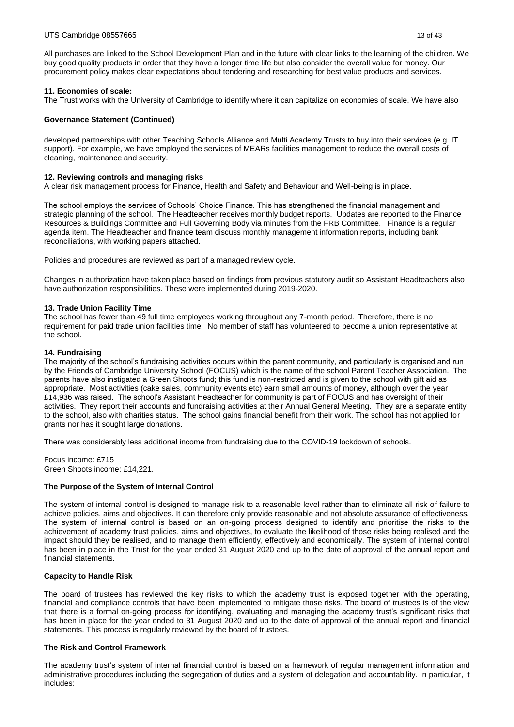All purchases are linked to the School Development Plan and in the future with clear links to the learning of the children. We buy good quality products in order that they have a longer time life but also consider the overall value for money. Our procurement policy makes clear expectations about tendering and researching for best value products and services.

### **11. Economies of scale:**

The Trust works with the University of Cambridge to identify where it can capitalize on economies of scale. We have also

### **Governance Statement (Continued)**

developed partnerships with other Teaching Schools Alliance and Multi Academy Trusts to buy into their services (e.g. IT support). For example, we have employed the services of MEARs facilities management to reduce the overall costs of cleaning, maintenance and security.

### **12. Reviewing controls and managing risks**

A clear risk management process for Finance, Health and Safety and Behaviour and Well-being is in place.

The school employs the services of Schools' Choice Finance. This has strengthened the financial management and strategic planning of the school. The Headteacher receives monthly budget reports. Updates are reported to the Finance Resources & Buildings Committee and Full Governing Body via minutes from the FRB Committee. Finance is a regular agenda item. The Headteacher and finance team discuss monthly management information reports, including bank reconciliations, with working papers attached.

Policies and procedures are reviewed as part of a managed review cycle.

Changes in authorization have taken place based on findings from previous statutory audit so Assistant Headteachers also have authorization responsibilities. These were implemented during 2019-2020.

#### **13. Trade Union Facility Time**

The school has fewer than 49 full time employees working throughout any 7-month period. Therefore, there is no requirement for paid trade union facilities time. No member of staff has volunteered to become a union representative at the school.

#### **14. Fundraising**

The majority of the school's fundraising activities occurs within the parent community, and particularly is organised and run by the Friends of Cambridge University School (FOCUS) which is the name of the school Parent Teacher Association. The parents have also instigated a Green Shoots fund; this fund is non-restricted and is given to the school with gift aid as appropriate. Most activities (cake sales, community events etc) earn small amounts of money, although over the year £14,936 was raised. The school's Assistant Headteacher for community is part of FOCUS and has oversight of their activities. They report their accounts and fundraising activities at their Annual General Meeting. They are a separate entity to the school, also with charities status. The school gains financial benefit from their work. The school has not applied for grants nor has it sought large donations.

There was considerably less additional income from fundraising due to the COVID-19 lockdown of schools.

Focus income: £715 Green Shoots income: £14,221.

#### **The Purpose of the System of Internal Control**

The system of internal control is designed to manage risk to a reasonable level rather than to eliminate all risk of failure to achieve policies, aims and objectives. It can therefore only provide reasonable and not absolute assurance of effectiveness. The system of internal control is based on an on-going process designed to identify and prioritise the risks to the achievement of academy trust policies, aims and objectives, to evaluate the likelihood of those risks being realised and the impact should they be realised, and to manage them efficiently, effectively and economically. The system of internal control has been in place in the Trust for the year ended 31 August 2020 and up to the date of approval of the annual report and financial statements.

#### **Capacity to Handle Risk**

The board of trustees has reviewed the key risks to which the academy trust is exposed together with the operating, financial and compliance controls that have been implemented to mitigate those risks. The board of trustees is of the view that there is a formal on-going process for identifying, evaluating and managing the academy trust's significant risks that has been in place for the year ended to 31 August 2020 and up to the date of approval of the annual report and financial statements. This process is regularly reviewed by the board of trustees.

#### **The Risk and Control Framework**

The academy trust's system of internal financial control is based on a framework of regular management information and administrative procedures including the segregation of duties and a system of delegation and accountability. In particular, it includes: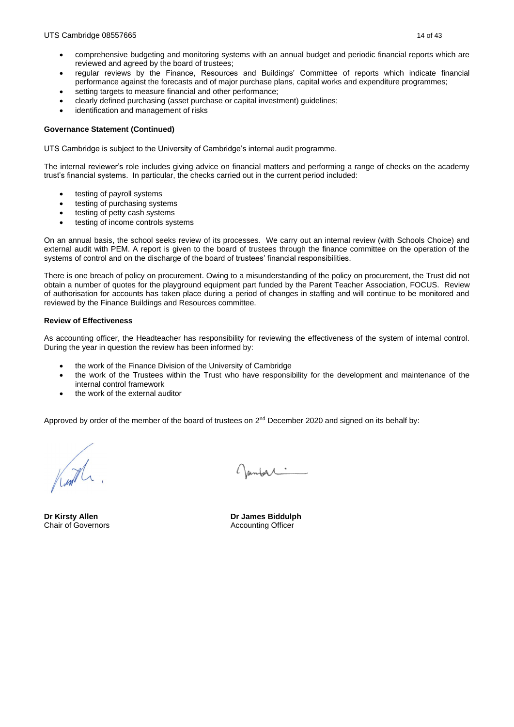- comprehensive budgeting and monitoring systems with an annual budget and periodic financial reports which are reviewed and agreed by the board of trustees;
- regular reviews by the Finance, Resources and Buildings' Committee of reports which indicate financial performance against the forecasts and of major purchase plans, capital works and expenditure programmes;
- setting targets to measure financial and other performance:
- clearly defined purchasing (asset purchase or capital investment) guidelines;
- identification and management of risks

### **Governance Statement (Continued)**

UTS Cambridge is subject to the University of Cambridge's internal audit programme.

The internal reviewer's role includes giving advice on financial matters and performing a range of checks on the academy trust's financial systems. In particular, the checks carried out in the current period included:

- testing of payroll systems
- testing of purchasing systems
- testing of petty cash systems
- testing of income controls systems

On an annual basis, the school seeks review of its processes. We carry out an internal review (with Schools Choice) and external audit with PEM. A report is given to the board of trustees through the finance committee on the operation of the systems of control and on the discharge of the board of trustees' financial responsibilities.

There is one breach of policy on procurement. Owing to a misunderstanding of the policy on procurement, the Trust did not obtain a number of quotes for the playground equipment part funded by the Parent Teacher Association, FOCUS. Review of authorisation for accounts has taken place during a period of changes in staffing and will continue to be monitored and reviewed by the Finance Buildings and Resources committee.

#### **Review of Effectiveness**

As accounting officer, the Headteacher has responsibility for reviewing the effectiveness of the system of internal control. During the year in question the review has been informed by:

- the work of the Finance Division of the University of Cambridge
- the work of the Trustees within the Trust who have responsibility for the development and maintenance of the internal control framework
- the work of the external auditor

Approved by order of the member of the board of trustees on 2<sup>nd</sup> December 2020 and signed on its behalf by:

Chair of Governors **Accounting Officer** Accounting Officer

Janford

**Dr Kirsty Allen Dr James Biddulph**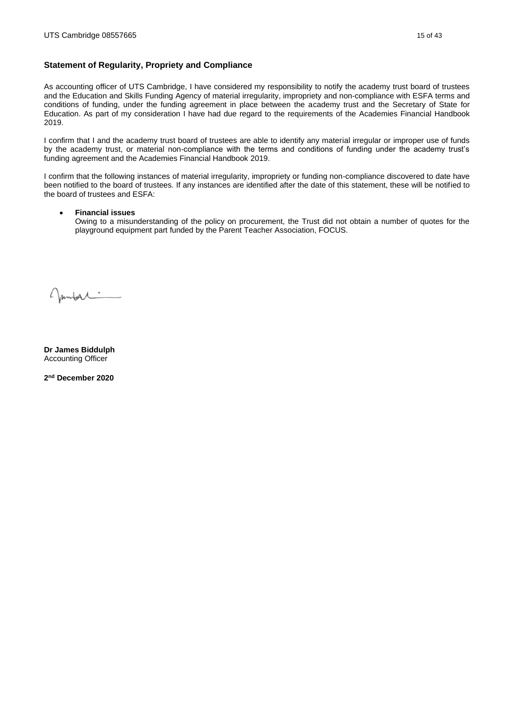# <span id="page-14-0"></span>**Statement of Regularity, Propriety and Compliance**

As accounting officer of UTS Cambridge, I have considered my responsibility to notify the academy trust board of trustees and the Education and Skills Funding Agency of material irregularity, impropriety and non-compliance with ESFA terms and conditions of funding, under the funding agreement in place between the academy trust and the Secretary of State for Education. As part of my consideration I have had due regard to the requirements of the Academies Financial Handbook 2019.

I confirm that I and the academy trust board of trustees are able to identify any material irregular or improper use of funds by the academy trust, or material non-compliance with the terms and conditions of funding under the academy trust's funding agreement and the Academies Financial Handbook 2019.

I confirm that the following instances of material irregularity, impropriety or funding non-compliance discovered to date have been notified to the board of trustees. If any instances are identified after the date of this statement, these will be notified to the board of trustees and ESFA:

## • **Financial issues**

Owing to a misunderstanding of the policy on procurement, the Trust did not obtain a number of quotes for the playground equipment part funded by the Parent Teacher Association, FOCUS.

Juntar

**Dr James Biddulph** Accounting Officer

**2 nd December 2020**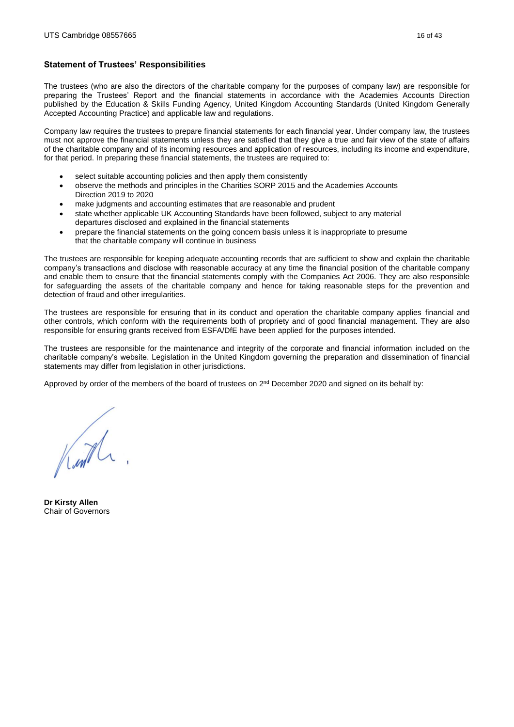### <span id="page-15-0"></span>**Statement of Trustees' Responsibilities**

The trustees (who are also the directors of the charitable company for the purposes of company law) are responsible for preparing the Trustees' Report and the financial statements in accordance with the Academies Accounts Direction published by the Education & Skills Funding Agency, United Kingdom Accounting Standards (United Kingdom Generally Accepted Accounting Practice) and applicable law and regulations.

Company law requires the trustees to prepare financial statements for each financial year. Under company law, the trustees must not approve the financial statements unless they are satisfied that they give a true and fair view of the state of affairs of the charitable company and of its incoming resources and application of resources, including its income and expenditure, for that period. In preparing these financial statements, the trustees are required to:

- select suitable accounting policies and then apply them consistently
- observe the methods and principles in the Charities SORP 2015 and the Academies Accounts Direction 2019 to 2020
- make judgments and accounting estimates that are reasonable and prudent
- state whether applicable UK Accounting Standards have been followed, subject to any material departures disclosed and explained in the financial statements
- prepare the financial statements on the going concern basis unless it is inappropriate to presume that the charitable company will continue in business

The trustees are responsible for keeping adequate accounting records that are sufficient to show and explain the charitable company's transactions and disclose with reasonable accuracy at any time the financial position of the charitable company and enable them to ensure that the financial statements comply with the Companies Act 2006. They are also responsible for safeguarding the assets of the charitable company and hence for taking reasonable steps for the prevention and detection of fraud and other irregularities.

The trustees are responsible for ensuring that in its conduct and operation the charitable company applies financial and other controls, which conform with the requirements both of propriety and of good financial management. They are also responsible for ensuring grants received from ESFA/DfE have been applied for the purposes intended.

The trustees are responsible for the maintenance and integrity of the corporate and financial information included on the charitable company's website. Legislation in the United Kingdom governing the preparation and dissemination of financial statements may differ from legislation in other jurisdictions.

Approved by order of the members of the board of trustees on 2<sup>nd</sup> December 2020 and signed on its behalf by:

Kuth

**Dr Kirsty Allen** Chair of Governors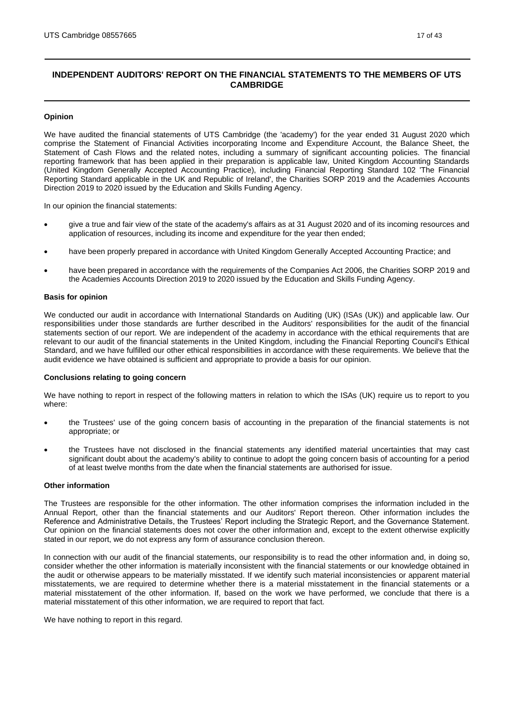# <span id="page-16-0"></span>**INDEPENDENT AUDITORS' REPORT ON THE FINANCIAL STATEMENTS TO THE MEMBERS OF UTS CAMBRIDGE**

#### **Opinion**

We have audited the financial statements of UTS Cambridge (the 'academy') for the year ended 31 August 2020 which comprise the Statement of Financial Activities incorporating Income and Expenditure Account, the Balance Sheet, the Statement of Cash Flows and the related notes, including a summary of significant accounting policies. The financial reporting framework that has been applied in their preparation is applicable law, United Kingdom Accounting Standards (United Kingdom Generally Accepted Accounting Practice), including Financial Reporting Standard 102 'The Financial Reporting Standard applicable in the UK and Republic of Ireland', the Charities SORP 2019 and the Academies Accounts Direction 2019 to 2020 issued by the Education and Skills Funding Agency.

In our opinion the financial statements:

- give a true and fair view of the state of the academy's affairs as at 31 August 2020 and of its incoming resources and application of resources, including its income and expenditure for the year then ended;
- have been properly prepared in accordance with United Kingdom Generally Accepted Accounting Practice; and
- have been prepared in accordance with the requirements of the Companies Act 2006, the Charities SORP 2019 and the Academies Accounts Direction 2019 to 2020 issued by the Education and Skills Funding Agency.

#### **Basis for opinion**

We conducted our audit in accordance with International Standards on Auditing (UK) (ISAs (UK)) and applicable law. Our responsibilities under those standards are further described in the Auditors' responsibilities for the audit of the financial statements section of our report. We are independent of the academy in accordance with the ethical requirements that are relevant to our audit of the financial statements in the United Kingdom, including the Financial Reporting Council's Ethical Standard, and we have fulfilled our other ethical responsibilities in accordance with these requirements. We believe that the audit evidence we have obtained is sufficient and appropriate to provide a basis for our opinion.

#### **Conclusions relating to going concern**

We have nothing to report in respect of the following matters in relation to which the ISAs (UK) require us to report to you where:

- the Trustees' use of the going concern basis of accounting in the preparation of the financial statements is not appropriate; or
- the Trustees have not disclosed in the financial statements any identified material uncertainties that may cast significant doubt about the academy's ability to continue to adopt the going concern basis of accounting for a period of at least twelve months from the date when the financial statements are authorised for issue.

# **Other information**

The Trustees are responsible for the other information. The other information comprises the information included in the Annual Report, other than the financial statements and our Auditors' Report thereon. Other information includes the Reference and Administrative Details, the Trustees' Report including the Strategic Report, and the Governance Statement. Our opinion on the financial statements does not cover the other information and, except to the extent otherwise explicitly stated in our report, we do not express any form of assurance conclusion thereon.

In connection with our audit of the financial statements, our responsibility is to read the other information and, in doing so, consider whether the other information is materially inconsistent with the financial statements or our knowledge obtained in the audit or otherwise appears to be materially misstated. If we identify such material inconsistencies or apparent material misstatements, we are required to determine whether there is a material misstatement in the financial statements or a material misstatement of the other information. If, based on the work we have performed, we conclude that there is a material misstatement of this other information, we are required to report that fact.

We have nothing to report in this regard.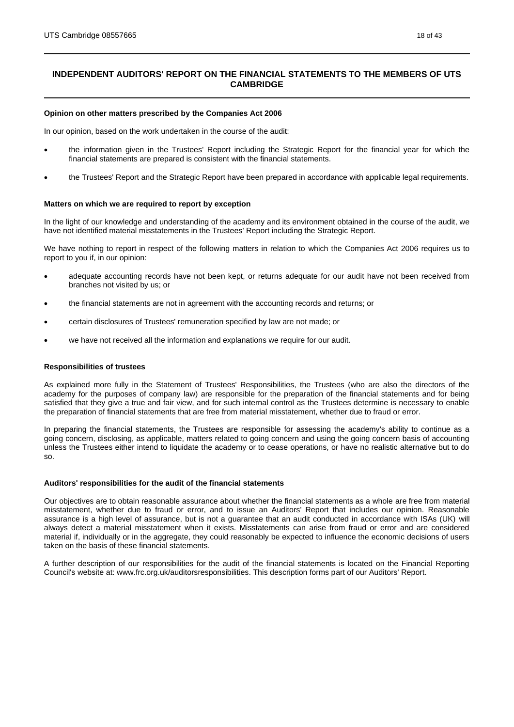# **INDEPENDENT AUDITORS' REPORT ON THE FINANCIAL STATEMENTS TO THE MEMBERS OF UTS CAMBRIDGE**

#### **Opinion on other matters prescribed by the Companies Act 2006**

In our opinion, based on the work undertaken in the course of the audit:

- the information given in the Trustees' Report including the Strategic Report for the financial year for which the financial statements are prepared is consistent with the financial statements.
- the Trustees' Report and the Strategic Report have been prepared in accordance with applicable legal requirements.

#### **Matters on which we are required to report by exception**

In the light of our knowledge and understanding of the academy and its environment obtained in the course of the audit, we have not identified material misstatements in the Trustees' Report including the Strategic Report.

We have nothing to report in respect of the following matters in relation to which the Companies Act 2006 requires us to report to you if, in our opinion:

- adequate accounting records have not been kept, or returns adequate for our audit have not been received from branches not visited by us; or
- the financial statements are not in agreement with the accounting records and returns; or
- certain disclosures of Trustees' remuneration specified by law are not made; or
- we have not received all the information and explanations we require for our audit.

#### **Responsibilities of trustees**

As explained more fully in the Statement of Trustees' Responsibilities, the Trustees (who are also the directors of the academy for the purposes of company law) are responsible for the preparation of the financial statements and for being satisfied that they give a true and fair view, and for such internal control as the Trustees determine is necessary to enable the preparation of financial statements that are free from material misstatement, whether due to fraud or error.

In preparing the financial statements, the Trustees are responsible for assessing the academy's ability to continue as a going concern, disclosing, as applicable, matters related to going concern and using the going concern basis of accounting unless the Trustees either intend to liquidate the academy or to cease operations, or have no realistic alternative but to do so.

#### **Auditors' responsibilities for the audit of the financial statements**

Our objectives are to obtain reasonable assurance about whether the financial statements as a whole are free from material misstatement, whether due to fraud or error, and to issue an Auditors' Report that includes our opinion. Reasonable assurance is a high level of assurance, but is not a guarantee that an audit conducted in accordance with ISAs (UK) will always detect a material misstatement when it exists. Misstatements can arise from fraud or error and are considered material if, individually or in the aggregate, they could reasonably be expected to influence the economic decisions of users taken on the basis of these financial statements.

A further description of our responsibilities for the audit of the financial statements is located on the Financial Reporting Council's website at: www.frc.org.uk/auditorsresponsibilities. This description forms part of our Auditors' Report.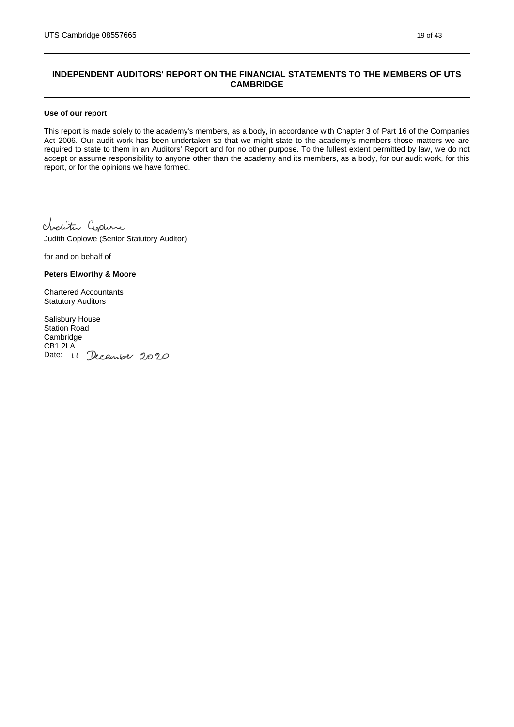# **INDEPENDENT AUDITORS' REPORT ON THE FINANCIAL STATEMENTS TO THE MEMBERS OF UTS CAMBRIDGE**

#### **Use of our report**

This report is made solely to the academy's members, as a body, in accordance with Chapter 3 of Part 16 of the Companies Act 2006. Our audit work has been undertaken so that we might state to the academy's members those matters we are required to state to them in an Auditors' Report and for no other purpose. To the fullest extent permitted by law, we do not accept or assume responsibility to anyone other than the academy and its members, as a body, for our audit work, for this report, or for the opinions we have formed.

Charity Copure

Judith Coplowe (Senior Statutory Auditor)

for and on behalf of

#### **Peters Elworthy & Moore**

Chartered Accountants Statutory Auditors

Salisbury House Station Road Cambridge CB1 2LA Date: 11 December 2020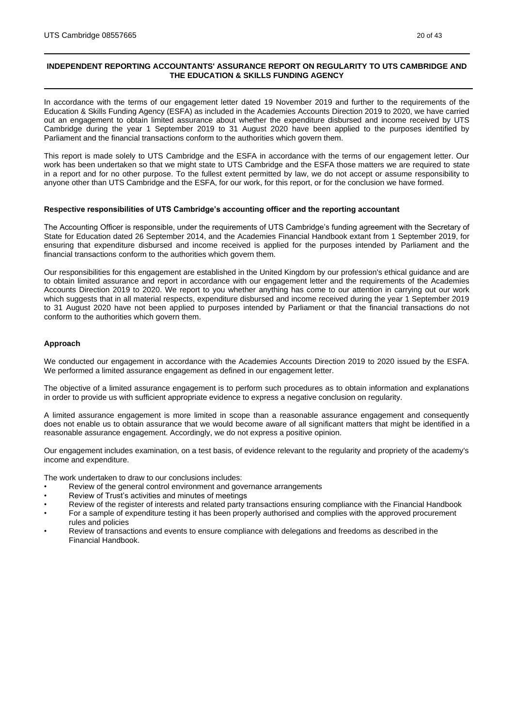# <span id="page-19-0"></span>**INDEPENDENT REPORTING ACCOUNTANTS' ASSURANCE REPORT ON REGULARITY TO UTS CAMBRIDGE AND THE EDUCATION & SKILLS FUNDING AGENCY**

In accordance with the terms of our engagement letter dated 19 November 2019 and further to the requirements of the Education & Skills Funding Agency (ESFA) as included in the Academies Accounts Direction 2019 to 2020, we have carried out an engagement to obtain limited assurance about whether the expenditure disbursed and income received by UTS Cambridge during the year 1 September 2019 to 31 August 2020 have been applied to the purposes identified by Parliament and the financial transactions conform to the authorities which govern them.

This report is made solely to UTS Cambridge and the ESFA in accordance with the terms of our engagement letter. Our work has been undertaken so that we might state to UTS Cambridge and the ESFA those matters we are required to state in a report and for no other purpose. To the fullest extent permitted by law, we do not accept or assume responsibility to anyone other than UTS Cambridge and the ESFA, for our work, for this report, or for the conclusion we have formed.

#### **Respective responsibilities of UTS Cambridge's accounting officer and the reporting accountant**

The Accounting Officer is responsible, under the requirements of UTS Cambridge's funding agreement with the Secretary of State for Education dated 26 September 2014, and the Academies Financial Handbook extant from 1 September 2019, for ensuring that expenditure disbursed and income received is applied for the purposes intended by Parliament and the financial transactions conform to the authorities which govern them.

Our responsibilities for this engagement are established in the United Kingdom by our profession's ethical guidance and are to obtain limited assurance and report in accordance with our engagement letter and the requirements of the Academies Accounts Direction 2019 to 2020. We report to you whether anything has come to our attention in carrying out our work which suggests that in all material respects, expenditure disbursed and income received during the year 1 September 2019 to 31 August 2020 have not been applied to purposes intended by Parliament or that the financial transactions do not conform to the authorities which govern them.

#### **Approach**

We conducted our engagement in accordance with the Academies Accounts Direction 2019 to 2020 issued by the ESFA. We performed a limited assurance engagement as defined in our engagement letter.

The objective of a limited assurance engagement is to perform such procedures as to obtain information and explanations in order to provide us with sufficient appropriate evidence to express a negative conclusion on regularity.

A limited assurance engagement is more limited in scope than a reasonable assurance engagement and consequently does not enable us to obtain assurance that we would become aware of all significant matters that might be identified in a reasonable assurance engagement. Accordingly, we do not express a positive opinion.

Our engagement includes examination, on a test basis, of evidence relevant to the regularity and propriety of the academy's income and expenditure.

The work undertaken to draw to our conclusions includes:

- Review of the general control environment and governance arrangements
- Review of Trust's activities and minutes of meetings
- Review of the register of interests and related party transactions ensuring compliance with the Financial Handbook
- For a sample of expenditure testing it has been properly authorised and complies with the approved procurement rules and policies
- Review of transactions and events to ensure compliance with delegations and freedoms as described in the Financial Handbook.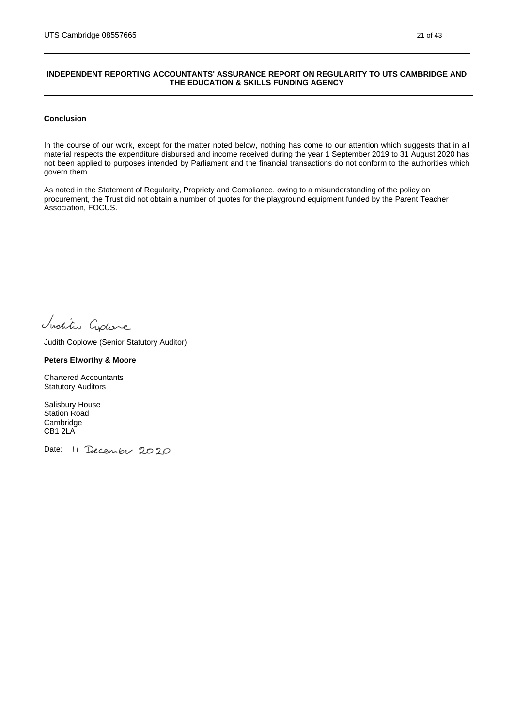### **INDEPENDENT REPORTING ACCOUNTANTS' ASSURANCE REPORT ON REGULARITY TO UTS CAMBRIDGE AND THE EDUCATION & SKILLS FUNDING AGENCY**

#### **Conclusion**

In the course of our work, except for the matter noted below, nothing has come to our attention which suggests that in all material respects the expenditure disbursed and income received during the year 1 September 2019 to 31 August 2020 has not been applied to purposes intended by Parliament and the financial transactions do not conform to the authorities which govern them.

As noted in the Statement of Regularity, Propriety and Compliance, owing to a misunderstanding of the policy on procurement, the Trust did not obtain a number of quotes for the playground equipment funded by the Parent Teacher Association, FOCUS.

Inditu Cyplane

Judith Coplowe (Senior Statutory Auditor)

### **Peters Elworthy & Moore**

Chartered Accountants Statutory Auditors

Salisbury House Station Road Cambridge CB1 2LA

Date: 11 December 2020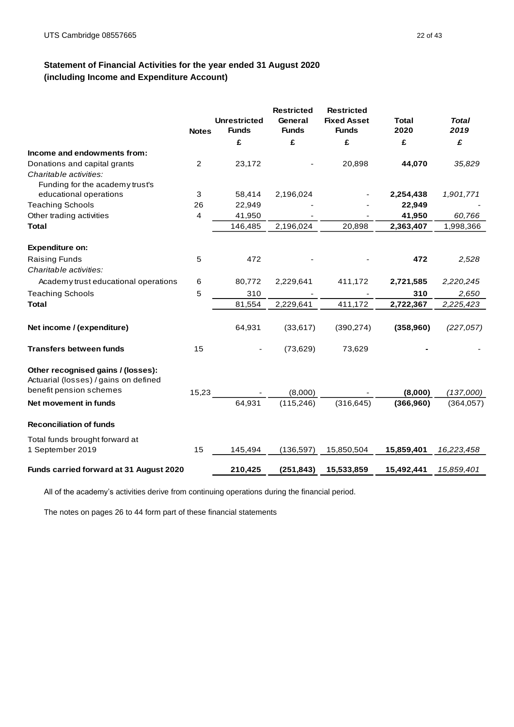# <span id="page-21-0"></span>**Statement of Financial Activities for the year ended 31 August 2020 (including Income and Expenditure Account)**

|                                                                                                        | <b>Notes</b>   | <b>Unrestricted</b><br><b>Funds</b> | <b>Restricted</b><br>General<br><b>Funds</b> | <b>Restricted</b><br><b>Fixed Asset</b><br><b>Funds</b> | Total<br>2020 | <b>Total</b><br>2019 |
|--------------------------------------------------------------------------------------------------------|----------------|-------------------------------------|----------------------------------------------|---------------------------------------------------------|---------------|----------------------|
|                                                                                                        |                | £                                   | £                                            | £                                                       | £             | £                    |
| Income and endowments from:                                                                            |                |                                     |                                              |                                                         |               |                      |
| Donations and capital grants                                                                           | $\overline{2}$ | 23,172                              |                                              | 20,898                                                  | 44,070        | 35,829               |
| Charitable activities:                                                                                 |                |                                     |                                              |                                                         |               |                      |
| Funding for the academy trust's                                                                        |                |                                     |                                              |                                                         |               |                      |
| educational operations                                                                                 | 3              | 58,414                              | 2,196,024                                    |                                                         | 2,254,438     | 1,901,771            |
| <b>Teaching Schools</b>                                                                                | 26             | 22,949                              |                                              |                                                         | 22,949        |                      |
| Other trading activities                                                                               | 4              | 41,950                              |                                              |                                                         | 41,950        | 60,766               |
| <b>Total</b>                                                                                           |                | 146,485                             | 2,196,024                                    | 20,898                                                  | 2,363,407     | 1,998,366            |
| <b>Expenditure on:</b>                                                                                 |                |                                     |                                              |                                                         |               |                      |
| <b>Raising Funds</b>                                                                                   | 5              | 472                                 |                                              |                                                         | 472           | 2,528                |
| Charitable activities:                                                                                 |                |                                     |                                              |                                                         |               |                      |
| Academy trust educational operations                                                                   | 6              | 80,772                              | 2,229,641                                    | 411,172                                                 | 2,721,585     | 2,220,245            |
| <b>Teaching Schools</b>                                                                                | 5              | 310                                 |                                              |                                                         | 310           | 2,650                |
| <b>Total</b>                                                                                           |                | 81,554                              | 2,229,641                                    | 411,172                                                 | 2,722,367     | 2,225,423            |
|                                                                                                        |                |                                     |                                              |                                                         |               |                      |
| Net income / (expenditure)                                                                             |                | 64,931                              | (33,617)                                     | (390, 274)                                              | (358,960)     | (227, 057)           |
| <b>Transfers between funds</b>                                                                         | 15             |                                     | (73, 629)                                    | 73,629                                                  |               |                      |
| Other recognised gains / (losses):<br>Actuarial (losses) / gains on defined<br>benefit pension schemes |                |                                     |                                              |                                                         |               |                      |
|                                                                                                        | 15,23          |                                     | (8,000)                                      |                                                         | (8,000)       | (137,000)            |
| Net movement in funds                                                                                  |                | 64,931                              | (115, 246)                                   | (316, 645)                                              | (366, 960)    | (364, 057)           |
| <b>Reconciliation of funds</b>                                                                         |                |                                     |                                              |                                                         |               |                      |
| Total funds brought forward at<br>1 September 2019                                                     | 15             | 145,494                             | (136, 597)                                   | 15,850,504                                              | 15,859,401    | 16,223,458           |
| Funds carried forward at 31 August 2020                                                                |                | 210,425                             | (251, 843)                                   | 15,533,859                                              | 15,492,441    | 15,859,401           |

All of the academy's activities derive from continuing operations during the financial period.

The notes on pages 26 to 44 form part of these financial statements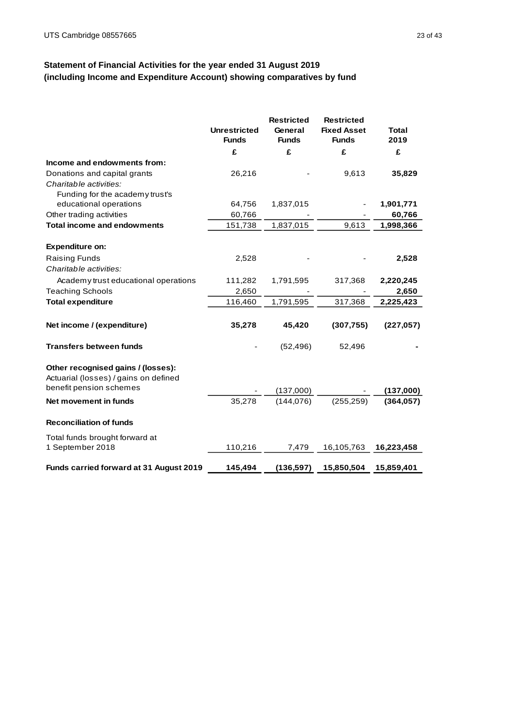# <span id="page-22-0"></span>**Statement of Financial Activities for the year ended 31 August 2019 (including Income and Expenditure Account) showing comparatives by fund**

|                                                                             | <b>Unrestricted</b><br><b>Funds</b> | <b>Restricted</b><br>General<br><b>Funds</b> | <b>Restricted</b><br><b>Fixed Asset</b><br><b>Funds</b> | <b>Total</b><br>2019 |
|-----------------------------------------------------------------------------|-------------------------------------|----------------------------------------------|---------------------------------------------------------|----------------------|
|                                                                             | £                                   | £                                            | £                                                       | £                    |
| Income and endowments from:                                                 |                                     |                                              |                                                         |                      |
| Donations and capital grants                                                | 26,216                              |                                              | 9,613                                                   | 35,829               |
| Charitable activities:                                                      |                                     |                                              |                                                         |                      |
| Funding for the academy trust's                                             |                                     |                                              |                                                         |                      |
| educational operations                                                      | 64,756                              | 1,837,015                                    |                                                         | 1,901,771            |
| Other trading activities                                                    | 60,766                              |                                              |                                                         | 60,766               |
| <b>Total income and endowments</b>                                          | 151,738                             | 1,837,015                                    | 9,613                                                   | 1,998,366            |
| <b>Expenditure on:</b>                                                      |                                     |                                              |                                                         |                      |
| <b>Raising Funds</b>                                                        | 2,528                               |                                              |                                                         | 2,528                |
| Charitable activities:                                                      |                                     |                                              |                                                         |                      |
| Academy trust educational operations                                        | 111,282                             | 1,791,595                                    | 317,368                                                 | 2,220,245            |
| <b>Teaching Schools</b>                                                     | 2,650                               |                                              |                                                         | 2,650                |
| <b>Total expenditure</b>                                                    | 116,460                             | 1,791,595                                    | 317,368                                                 | 2,225,423            |
|                                                                             |                                     |                                              |                                                         |                      |
| Net income / (expenditure)                                                  | 35,278                              | 45,420                                       | (307, 755)                                              | (227, 057)           |
| <b>Transfers between funds</b>                                              |                                     | (52, 496)                                    | 52,496                                                  |                      |
| Other recognised gains / (losses):<br>Actuarial (losses) / gains on defined |                                     |                                              |                                                         |                      |
| benefit pension schemes                                                     |                                     | (137,000)                                    |                                                         | (137,000)            |
| Net movement in funds                                                       | 35,278                              | (144, 076)                                   | (255.259)                                               | (364.057)            |
| <b>Reconciliation of funds</b>                                              |                                     |                                              |                                                         |                      |
| Total funds brought forward at                                              |                                     |                                              |                                                         |                      |
| 1 September 2018                                                            | 110,216                             | 7,479                                        | 16,105,763                                              | 16,223,458           |
| Funds carried forward at 31 August 2019                                     | 145,494                             | (136, 597)                                   | 15,850,504                                              | 15,859,401           |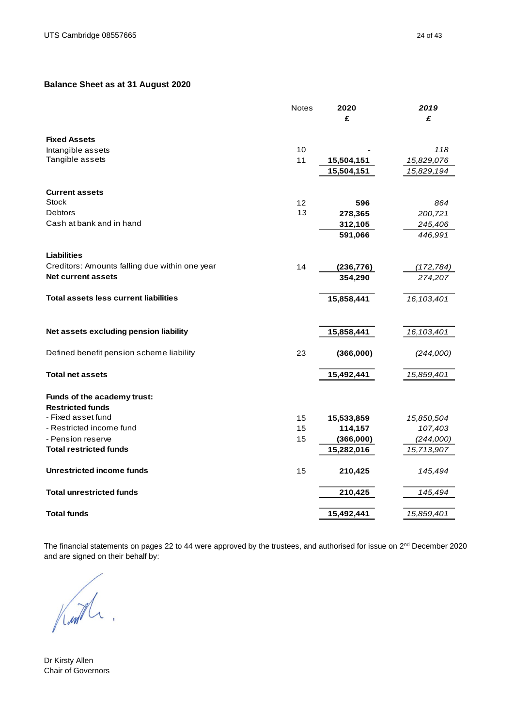# <span id="page-23-0"></span>**Balance Sheet as at 31 August 2020**

|                                                | <b>Notes</b>      | 2020       | 2019       |
|------------------------------------------------|-------------------|------------|------------|
|                                                |                   | £          | £          |
| <b>Fixed Assets</b>                            |                   |            |            |
| Intangible assets                              | 10                |            | 118        |
| Tangible assets                                | 11                | 15,504,151 | 15,829,076 |
|                                                |                   | 15,504,151 | 15,829,194 |
| <b>Current assets</b>                          |                   |            |            |
| Stock                                          | $12 \overline{ }$ | 596        | 864        |
| <b>Debtors</b>                                 | 13                | 278,365    | 200,721    |
| Cash at bank and in hand                       |                   | 312,105    | 245,406    |
|                                                |                   | 591,066    | 446,991    |
| <b>Liabilities</b>                             |                   |            |            |
| Creditors: Amounts falling due within one year | 14                | (236, 776) | (172, 784) |
| <b>Net current assets</b>                      |                   | 354,290    | 274,207    |
| <b>Total assets less current liabilities</b>   |                   | 15,858,441 | 16,103,401 |
|                                                |                   |            |            |
| Net assets excluding pension liability         |                   | 15,858,441 | 16,103,401 |
| Defined benefit pension scheme liability       | 23                | (366,000)  | (244,000)  |
| <b>Total net assets</b>                        |                   | 15,492,441 | 15,859,401 |
| Funds of the academy trust:                    |                   |            |            |
| <b>Restricted funds</b>                        |                   |            |            |
| - Fixed asset fund                             | 15                | 15,533,859 | 15,850,504 |
| - Restricted income fund                       | 15                | 114,157    | 107,403    |
| - Pension reserve                              | 15                | (366,000)  | (244,000)  |
| <b>Total restricted funds</b>                  |                   | 15,282,016 | 15,713,907 |
| Unrestricted income funds                      | 15                | 210,425    | 145,494    |
| <b>Total unrestricted funds</b>                |                   | 210,425    | 145,494    |
| <b>Total funds</b>                             |                   | 15,492,441 | 15,859,401 |
|                                                |                   |            |            |

The financial statements on pages 22 to 44 were approved by the trustees, and authorised for issue on 2<sup>nd</sup> December 2020 and are signed on their behalf by:

Kuth

Dr Kirsty Allen Chair of Governors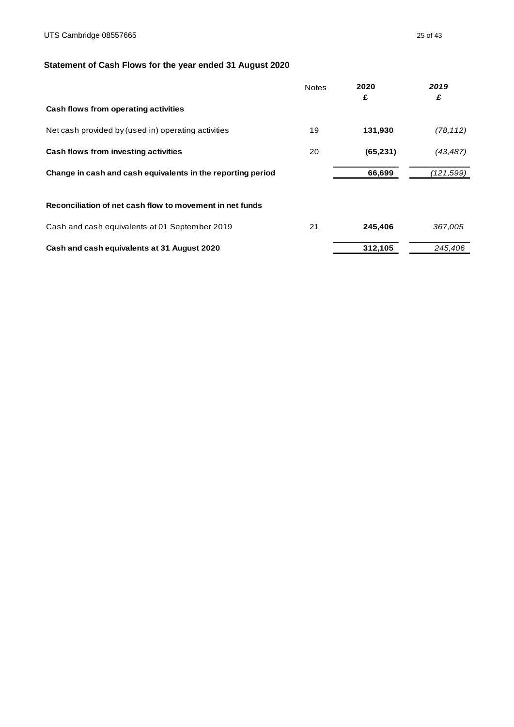# <span id="page-24-0"></span>**Statement of Cash Flows for the year ended 31 August 2020**

|                                                             | <b>Notes</b> | 2020<br>£ | 2019<br>£ |
|-------------------------------------------------------------|--------------|-----------|-----------|
| Cash flows from operating activities                        |              |           |           |
| Net cash provided by (used in) operating activities         | 19           | 131,930   | (78, 112) |
| Cash flows from investing activities                        | 20           | (65, 231) | (43, 487) |
| Change in cash and cash equivalents in the reporting period |              | 66,699    | (121,599) |
| Reconciliation of net cash flow to movement in net funds    |              |           |           |
| Cash and cash equivalents at 01 September 2019              | 21           | 245,406   | 367,005   |
| Cash and cash equivalents at 31 August 2020                 |              | 312,105   | 245.406   |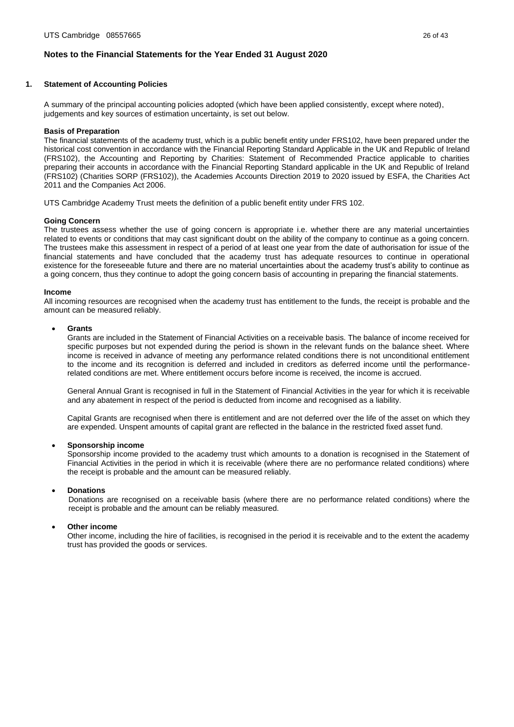### <span id="page-25-0"></span>**1. Statement of Accounting Policies**

A summary of the principal accounting policies adopted (which have been applied consistently, except where noted), judgements and key sources of estimation uncertainty, is set out below.

#### **Basis of Preparation**

The financial statements of the academy trust, which is a public benefit entity under FRS102, have been prepared under the historical cost convention in accordance with the Financial Reporting Standard Applicable in the UK and Republic of Ireland (FRS102), the Accounting and Reporting by Charities: Statement of Recommended Practice applicable to charities preparing their accounts in accordance with the Financial Reporting Standard applicable in the UK and Republic of Ireland (FRS102) (Charities SORP (FRS102)), the Academies Accounts Direction 2019 to 2020 issued by ESFA, the Charities Act 2011 and the Companies Act 2006.

UTS Cambridge Academy Trust meets the definition of a public benefit entity under FRS 102.

#### **Going Concern**

The trustees assess whether the use of going concern is appropriate i.e. whether there are any material uncertainties related to events or conditions that may cast significant doubt on the ability of the company to continue as a going concern. The trustees make this assessment in respect of a period of at least one year from the date of authorisation for issue of the financial statements and have concluded that the academy trust has adequate resources to continue in operational existence for the foreseeable future and there are no material uncertainties about the academy trust's ability to continue as a going concern, thus they continue to adopt the going concern basis of accounting in preparing the financial statements.

#### **Income**

All incoming resources are recognised when the academy trust has entitlement to the funds, the receipt is probable and the amount can be measured reliably.

#### • **Grants**

Grants are included in the Statement of Financial Activities on a receivable basis. The balance of income received for specific purposes but not expended during the period is shown in the relevant funds on the balance sheet. Where income is received in advance of meeting any performance related conditions there is not unconditional entitlement to the income and its recognition is deferred and included in creditors as deferred income until the performancerelated conditions are met. Where entitlement occurs before income is received, the income is accrued.

General Annual Grant is recognised in full in the Statement of Financial Activities in the year for which it is receivable and any abatement in respect of the period is deducted from income and recognised as a liability.

Capital Grants are recognised when there is entitlement and are not deferred over the life of the asset on which they are expended. Unspent amounts of capital grant are reflected in the balance in the restricted fixed asset fund.

#### • **Sponsorship income**

Sponsorship income provided to the academy trust which amounts to a donation is recognised in the Statement of Financial Activities in the period in which it is receivable (where there are no performance related conditions) where the receipt is probable and the amount can be measured reliably.

#### • **Donations**

Donations are recognised on a receivable basis (where there are no performance related conditions) where the receipt is probable and the amount can be reliably measured.

#### • **Other income**

Other income, including the hire of facilities, is recognised in the period it is receivable and to the extent the academy trust has provided the goods or services.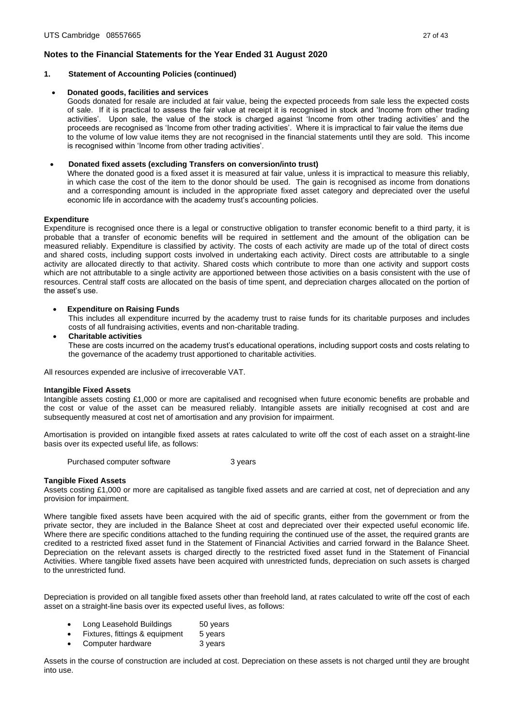- **1. Statement of Accounting Policies (continued)**
- **Donated goods, facilities and services**

Goods donated for resale are included at fair value, being the expected proceeds from sale less the expected costs of sale. If it is practical to assess the fair value at receipt it is recognised in stock and 'Income from other trading activities'. Upon sale, the value of the stock is charged against 'Income from other trading activities' and the proceeds are recognised as 'Income from other trading activities'. Where it is impractical to fair value the items due to the volume of low value items they are not recognised in the financial statements until they are sold. This income is recognised within 'Income from other trading activities'.

### • **Donated fixed assets (excluding Transfers on conversion/into trust)**

Where the donated good is a fixed asset it is measured at fair value, unless it is impractical to measure this reliably, in which case the cost of the item to the donor should be used. The gain is recognised as income from donations and a corresponding amount is included in the appropriate fixed asset category and depreciated over the useful economic life in accordance with the academy trust's accounting policies.

## **Expenditure**

Expenditure is recognised once there is a legal or constructive obligation to transfer economic benefit to a third party, it is probable that a transfer of economic benefits will be required in settlement and the amount of the obligation can be measured reliably. Expenditure is classified by activity. The costs of each activity are made up of the total of direct costs and shared costs, including support costs involved in undertaking each activity. Direct costs are attributable to a single activity are allocated directly to that activity. Shared costs which contribute to more than one activity and support costs which are not attributable to a single activity are apportioned between those activities on a basis consistent with the use of resources. Central staff costs are allocated on the basis of time spent, and depreciation charges allocated on the portion of the asset's use.

## **Expenditure on Raising Funds**

This includes all expenditure incurred by the academy trust to raise funds for its charitable purposes and includes costs of all fundraising activities, events and non-charitable trading.

• **Charitable activities**

These are costs incurred on the academy trust's educational operations, including support costs and costs relating to the governance of the academy trust apportioned to charitable activities.

All resources expended are inclusive of irrecoverable VAT.

#### **Intangible Fixed Assets**

Intangible assets costing £1,000 or more are capitalised and recognised when future economic benefits are probable and the cost or value of the asset can be measured reliably. Intangible assets are initially recognised at cost and are subsequently measured at cost net of amortisation and any provision for impairment.

Amortisation is provided on intangible fixed assets at rates calculated to write off the cost of each asset on a straight-line basis over its expected useful life, as follows:

Purchased computer software **3** years

#### **Tangible Fixed Assets**

Assets costing £1,000 or more are capitalised as tangible fixed assets and are carried at cost, net of depreciation and any provision for impairment.

Where tangible fixed assets have been acquired with the aid of specific grants, either from the government or from the private sector, they are included in the Balance Sheet at cost and depreciated over their expected useful economic life. Where there are specific conditions attached to the funding requiring the continued use of the asset, the required grants are credited to a restricted fixed asset fund in the Statement of Financial Activities and carried forward in the Balance Sheet. Depreciation on the relevant assets is charged directly to the restricted fixed asset fund in the Statement of Financial Activities. Where tangible fixed assets have been acquired with unrestricted funds, depreciation on such assets is charged to the unrestricted fund.

Depreciation is provided on all tangible fixed assets other than freehold land, at rates calculated to write off the cost of each asset on a straight-line basis over its expected useful lives, as follows:

- Long Leasehold Buildings 50 years
- Fixtures, fittings & equipment 5 years
- Computer hardware 3 years

Assets in the course of construction are included at cost. Depreciation on these assets is not charged until they are brought into use.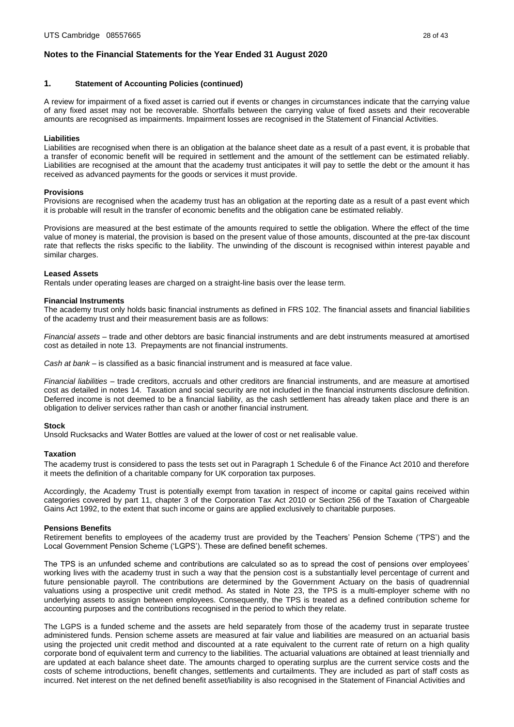# **1. Statement of Accounting Policies (continued)**

A review for impairment of a fixed asset is carried out if events or changes in circumstances indicate that the carrying value of any fixed asset may not be recoverable. Shortfalls between the carrying value of fixed assets and their recoverable amounts are recognised as impairments. Impairment losses are recognised in the Statement of Financial Activities.

## **Liabilities**

Liabilities are recognised when there is an obligation at the balance sheet date as a result of a past event, it is probable that a transfer of economic benefit will be required in settlement and the amount of the settlement can be estimated reliably. Liabilities are recognised at the amount that the academy trust anticipates it will pay to settle the debt or the amount it has received as advanced payments for the goods or services it must provide.

## **Provisions**

Provisions are recognised when the academy trust has an obligation at the reporting date as a result of a past event which it is probable will result in the transfer of economic benefits and the obligation cane be estimated reliably.

Provisions are measured at the best estimate of the amounts required to settle the obligation. Where the effect of the time value of money is material, the provision is based on the present value of those amounts, discounted at the pre-tax discount rate that reflects the risks specific to the liability. The unwinding of the discount is recognised within interest payable and similar charges.

#### **Leased Assets**

Rentals under operating leases are charged on a straight-line basis over the lease term.

### **Financial Instruments**

The academy trust only holds basic financial instruments as defined in FRS 102. The financial assets and financial liabilities of the academy trust and their measurement basis are as follows:

*Financial assets* – trade and other debtors are basic financial instruments and are debt instruments measured at amortised cost as detailed in note 13. Prepayments are not financial instruments.

*Cash at bank* – is classified as a basic financial instrument and is measured at face value.

*Financial liabilities* – trade creditors, accruals and other creditors are financial instruments, and are measure at amortised cost as detailed in notes 14. Taxation and social security are not included in the financial instruments disclosure definition. Deferred income is not deemed to be a financial liability, as the cash settlement has already taken place and there is an obligation to deliver services rather than cash or another financial instrument.

#### **Stock**

Unsold Rucksacks and Water Bottles are valued at the lower of cost or net realisable value.

#### **Taxation**

The academy trust is considered to pass the tests set out in Paragraph 1 Schedule 6 of the Finance Act 2010 and therefore it meets the definition of a charitable company for UK corporation tax purposes.

Accordingly, the Academy Trust is potentially exempt from taxation in respect of income or capital gains received within categories covered by part 11, chapter 3 of the Corporation Tax Act 2010 or Section 256 of the Taxation of Chargeable Gains Act 1992, to the extent that such income or gains are applied exclusively to charitable purposes.

#### **Pensions Benefits**

Retirement benefits to employees of the academy trust are provided by the Teachers' Pension Scheme ('TPS') and the Local Government Pension Scheme ('LGPS'). These are defined benefit schemes.

The TPS is an unfunded scheme and contributions are calculated so as to spread the cost of pensions over employees' working lives with the academy trust in such a way that the pension cost is a substantially level percentage of current and future pensionable payroll. The contributions are determined by the Government Actuary on the basis of quadrennial valuations using a prospective unit credit method. As stated in Note 23, the TPS is a multi-employer scheme with no underlying assets to assign between employees. Consequently, the TPS is treated as a defined contribution scheme for accounting purposes and the contributions recognised in the period to which they relate.

The LGPS is a funded scheme and the assets are held separately from those of the academy trust in separate trustee administered funds. Pension scheme assets are measured at fair value and liabilities are measured on an actuarial basis using the projected unit credit method and discounted at a rate equivalent to the current rate of return on a high quality corporate bond of equivalent term and currency to the liabilities. The actuarial valuations are obtained at least triennially and are updated at each balance sheet date. The amounts charged to operating surplus are the current service costs and the costs of scheme introductions, benefit changes, settlements and curtailments. They are included as part of staff costs as incurred. Net interest on the net defined benefit asset/liability is also recognised in the Statement of Financial Activities and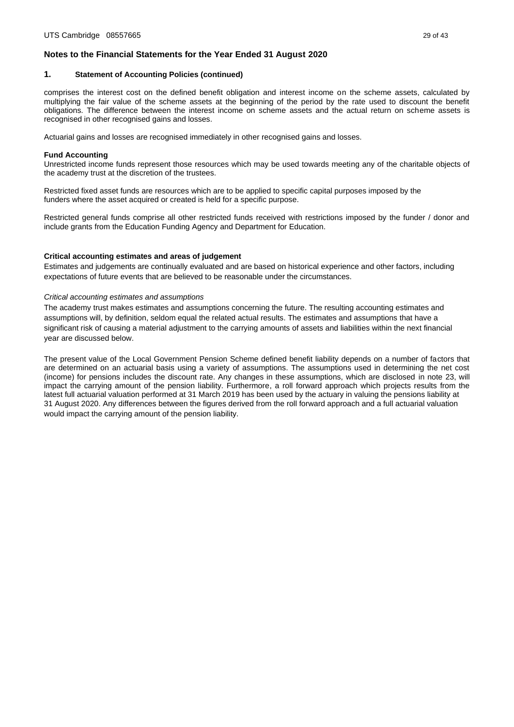### **1. Statement of Accounting Policies (continued)**

comprises the interest cost on the defined benefit obligation and interest income on the scheme assets, calculated by multiplying the fair value of the scheme assets at the beginning of the period by the rate used to discount the benefit obligations. The difference between the interest income on scheme assets and the actual return on scheme assets is recognised in other recognised gains and losses.

Actuarial gains and losses are recognised immediately in other recognised gains and losses.

### **Fund Accounting**

Unrestricted income funds represent those resources which may be used towards meeting any of the charitable objects of the academy trust at the discretion of the trustees.

Restricted fixed asset funds are resources which are to be applied to specific capital purposes imposed by the funders where the asset acquired or created is held for a specific purpose.

Restricted general funds comprise all other restricted funds received with restrictions imposed by the funder / donor and include grants from the Education Funding Agency and Department for Education.

# **Critical accounting estimates and areas of judgement**

Estimates and judgements are continually evaluated and are based on historical experience and other factors, including expectations of future events that are believed to be reasonable under the circumstances.

## *Critical accounting estimates and assumptions*

The academy trust makes estimates and assumptions concerning the future. The resulting accounting estimates and assumptions will, by definition, seldom equal the related actual results. The estimates and assumptions that have a significant risk of causing a material adjustment to the carrying amounts of assets and liabilities within the next financial year are discussed below.

The present value of the Local Government Pension Scheme defined benefit liability depends on a number of factors that are determined on an actuarial basis using a variety of assumptions. The assumptions used in determining the net cost (income) for pensions includes the discount rate. Any changes in these assumptions, which are disclosed in note 23, will impact the carrying amount of the pension liability. Furthermore, a roll forward approach which projects results from the latest full actuarial valuation performed at 31 March 2019 has been used by the actuary in valuing the pensions liability at 31 August 2020. Any differences between the figures derived from the roll forward approach and a full actuarial valuation would impact the carrying amount of the pension liability.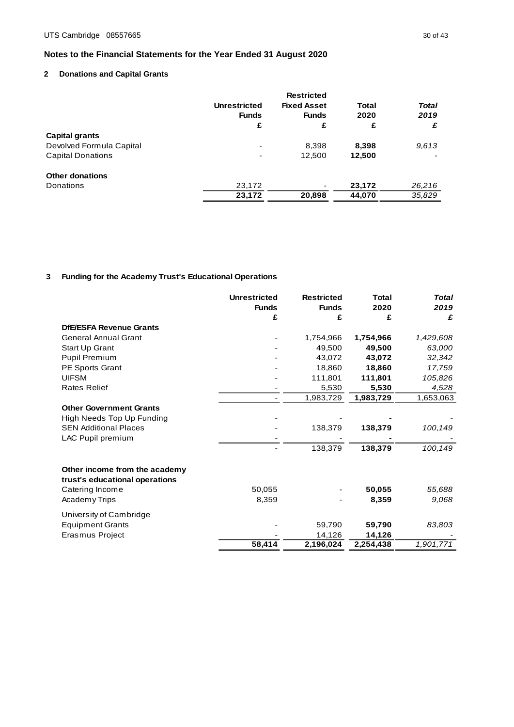# <span id="page-29-0"></span>**2 Donations and Capital Grants**

|                          |                     | <b>Restricted</b>  |        |              |
|--------------------------|---------------------|--------------------|--------|--------------|
|                          | <b>Unrestricted</b> | <b>Fixed Asset</b> | Total  | <b>Total</b> |
|                          | <b>Funds</b>        | <b>Funds</b>       | 2020   | 2019         |
|                          | £                   | £                  | £      | £            |
| Capital grants           |                     |                    |        |              |
| Devolved Formula Capital | ٠                   | 8.398              | 8,398  | 9.613        |
| <b>Capital Donations</b> | ٠                   | 12,500             | 12,500 |              |
| <b>Other donations</b>   |                     |                    |        |              |
| Donations                | 23,172              |                    | 23,172 | 26,216       |
|                          | 23,172              | 20,898             | 44,070 | 35,829       |
|                          |                     |                    |        |              |

# **3 Funding for the Academy Trust's Educational Operations**

|                                                                 | <b>Unrestricted</b><br><b>Funds</b> | <b>Restricted</b><br><b>Funds</b> | <b>Total</b><br>2020 | <b>Total</b><br>2019 |
|-----------------------------------------------------------------|-------------------------------------|-----------------------------------|----------------------|----------------------|
|                                                                 | £                                   | £                                 | £                    | £                    |
| <b>DfE/ESFA Revenue Grants</b>                                  |                                     |                                   |                      |                      |
| <b>General Annual Grant</b>                                     |                                     | 1,754,966                         | 1,754,966            | 1,429,608            |
| Start Up Grant                                                  |                                     | 49,500                            | 49,500               | 63,000               |
| <b>Pupil Premium</b>                                            |                                     | 43,072                            | 43,072               | 32,342               |
| <b>PE Sports Grant</b>                                          |                                     | 18,860                            | 18,860               | 17,759               |
| <b>UIFSM</b>                                                    |                                     | 111,801                           | 111,801              | 105,826              |
| <b>Rates Relief</b>                                             |                                     | 5,530                             | 5,530                | 4,528                |
|                                                                 |                                     | 1,983,729                         | 1,983,729            | 1,653,063            |
| <b>Other Government Grants</b>                                  |                                     |                                   |                      |                      |
| High Needs Top Up Funding                                       |                                     |                                   |                      |                      |
| <b>SEN Additional Places</b>                                    |                                     | 138,379                           | 138,379              | 100,149              |
| LAC Pupil premium                                               |                                     |                                   |                      |                      |
|                                                                 |                                     | 138,379                           | 138,379              | 100,149              |
| Other income from the academy<br>trust's educational operations |                                     |                                   |                      |                      |
| Catering Income                                                 | 50.055                              |                                   | 50,055               | 55,688               |
| <b>Academy Trips</b>                                            | 8,359                               |                                   | 8,359                | 9.068                |
| University of Cambridge                                         |                                     |                                   |                      |                      |
| <b>Equipment Grants</b>                                         |                                     | 59,790                            | 59,790               | 83,803               |
| Erasmus Project                                                 |                                     | 14,126                            | 14,126               |                      |
|                                                                 | 58,414                              | 2,196,024                         | 2,254,438            | 1,901,771            |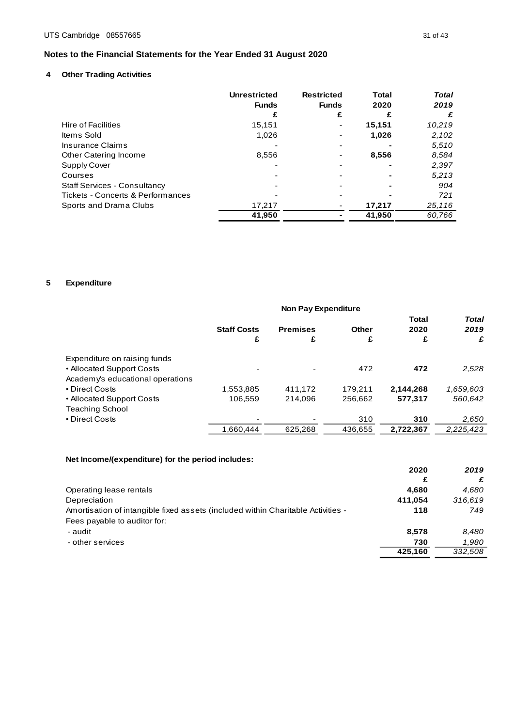# **4 Other Trading Activities**

|                                     | <b>Unrestricted</b><br><b>Funds</b> | <b>Restricted</b><br><b>Funds</b> | Total<br>2020 | <b>Total</b><br>2019 |
|-------------------------------------|-------------------------------------|-----------------------------------|---------------|----------------------|
|                                     | £                                   | £                                 | £             | £                    |
| Hire of Facilities                  | 15.151                              |                                   | 15,151        | 10,219               |
| Items Sold                          | 1.026                               |                                   | 1,026         | 2,102                |
| Insurance Claims                    |                                     |                                   |               | 5,510                |
| Other Catering Income               | 8,556                               |                                   | 8,556         | 8.584                |
| Supply Cover                        |                                     |                                   |               | 2,397                |
| Courses                             |                                     |                                   |               | 5,213                |
| <b>Staff Services - Consultancy</b> |                                     |                                   |               | 904                  |
| Tickets - Concerts & Performances   |                                     |                                   |               | 721                  |
| Sports and Drama Clubs              | 17,217                              |                                   | 17,217        | 25,116               |
|                                     | 41,950                              |                                   | 41,950        | 60,766               |

# **5 Expenditure**

|                                                                                               | <b>Non Pay Expenditure</b> |                      |            |                           |                           |
|-----------------------------------------------------------------------------------------------|----------------------------|----------------------|------------|---------------------------|---------------------------|
|                                                                                               | <b>Staff Costs</b><br>£    | <b>Premises</b><br>£ | Other<br>£ | <b>Total</b><br>2020<br>£ | <b>Total</b><br>2019<br>£ |
| Expenditure on raising funds<br>• Allocated Support Costs<br>Academy's educational operations | -                          |                      | 472        | 472                       | 2,528                     |
| • Direct Costs                                                                                | 1,553,885                  | 411.172              | 179.211    | 2,144,268                 | 1,659,603                 |
| • Allocated Support Costs<br><b>Teaching School</b>                                           | 106.559                    | 214.096              | 256.662    | 577.317                   | 560.642                   |
| • Direct Costs                                                                                |                            |                      | 310        | 310                       | 2,650                     |
|                                                                                               | 1.660.444                  | 625.268              | 436.655    | 2.722.367                 | 2.225.423                 |

# **Net Income/(expenditure) for the period includes:**

|                                                                                  | 2020<br>£ | 2019    |
|----------------------------------------------------------------------------------|-----------|---------|
| Operating lease rentals                                                          | 4.680     | 4.680   |
| Depreciation                                                                     | 411.054   | 316.619 |
| Amortisation of intangible fixed assets (included within Charitable Activities - | 118       | 749     |
| Fees payable to auditor for:                                                     |           |         |
| - audit                                                                          | 8,578     | 8.480   |
| - other services                                                                 | 730       | 1.980   |
|                                                                                  | 425.160   | 332,508 |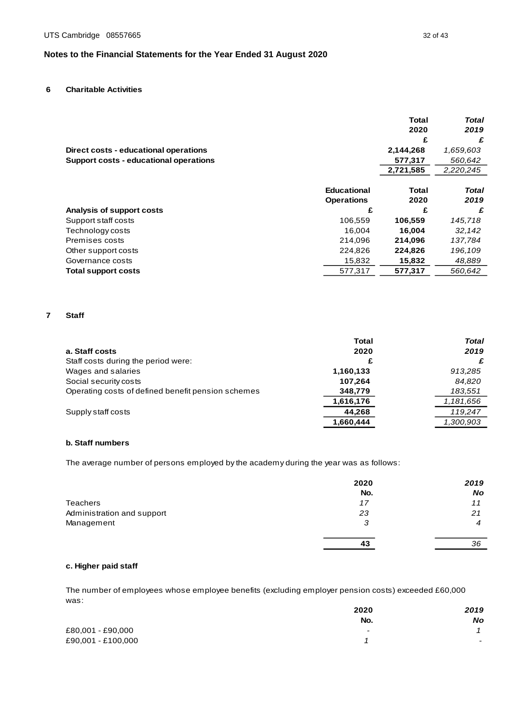# **6 Charitable Activities**

|                                        |                   | <b>Total</b> | <b>Total</b> |
|----------------------------------------|-------------------|--------------|--------------|
|                                        |                   | 2020         | 2019         |
|                                        |                   | £            | £            |
| Direct costs - educational operations  |                   | 2,144,268    | 1,659,603    |
| Support costs - educational operations |                   | 577,317      | 560,642      |
|                                        |                   | 2,721,585    | 2,220,245    |
|                                        |                   |              |              |
|                                        | Educational       | Total        | Total        |
|                                        | <b>Operations</b> | 2020         | 2019         |
| Analysis of support costs              | £                 | £            | £            |
| Support staff costs                    | 106,559           | 106,559      | 145,718      |
| Technology costs                       | 16.004            | 16,004       | 32,142       |
| Premises costs                         | 214.096           | 214,096      | 137,784      |
| Other support costs                    | 224,826           | 224,826      | 196,109      |
| Governance costs                       | 15,832            | 15,832       | 48,889       |
| Total support costs                    | 577.317           | 577.317      | 560.642      |

#### **7 Staff**

|                                                    | <b>Total</b> | <b>Total</b> |
|----------------------------------------------------|--------------|--------------|
| a. Staff costs                                     | 2020         | 2019         |
| Staff costs during the period were:                | £            |              |
| Wages and salaries                                 | 1,160,133    | 913,285      |
| Social security costs                              | 107.264      | 84,820       |
| Operating costs of defined benefit pension schemes | 348,779      | 183,551      |
|                                                    | 1,616,176    | 1,181,656    |
| Supply staff costs                                 | 44.268       | 119.247      |
|                                                    | 1,660,444    | 1,300,903    |

# **b. Staff numbers**

The average number of persons employed by the academy during the year was as follows:

|                            | 2020 | 2019      |
|----------------------------|------|-----------|
|                            | No.  | <b>No</b> |
| Teachers                   | 17   | 11        |
| Administration and support | 23   | 21        |
| Management                 | з    | 4         |
|                            | 43   | 36        |

# **c. Higher paid staff**

The number of employees whose employee benefits (excluding employer pension costs) exceeded £60,000 was:

|                    | 2020                     | 2019                     |
|--------------------|--------------------------|--------------------------|
|                    | No.                      | <b>No</b>                |
| £80,001 - £90,000  | $\overline{\phantom{a}}$ |                          |
| £90,001 - £100,000 |                          | $\overline{\phantom{a}}$ |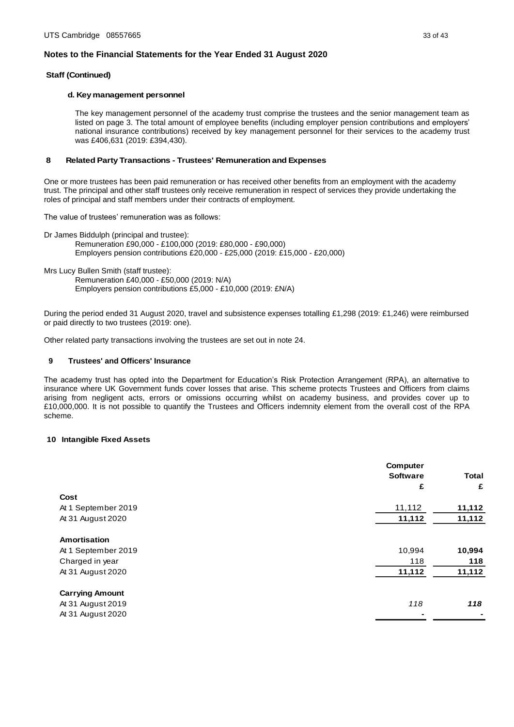### **Staff (Continued)**

### **d. Key management personnel**

The key management personnel of the academy trust comprise the trustees and the senior management team as listed on page 3. The total amount of employee benefits (including employer pension contributions and employers' national insurance contributions) received by key management personnel for their services to the academy trust was £406,631 (2019: £394,430).

### **8 Related Party Transactions - Trustees' Remuneration and Expenses**

One or more trustees has been paid remuneration or has received other benefits from an employment with the academy trust. The principal and other staff trustees only receive remuneration in respect of services they provide undertaking the roles of principal and staff members under their contracts of employment.

The value of trustees' remuneration was as follows:

Dr James Biddulph (principal and trustee): Remuneration £90,000 - £100,000 (2019: £80,000 - £90,000) Employers pension contributions £20,000 - £25,000 (2019: £15,000 - £20,000)

Mrs Lucy Bullen Smith (staff trustee):

Remuneration £40,000 - £50,000 (2019: N/A) Employers pension contributions £5,000 - £10,000 (2019: £N/A)

During the period ended 31 August 2020, travel and subsistence expenses totalling £1,298 (2019: £1,246) were reimbursed or paid directly to two trustees (2019: one).

Other related party transactions involving the trustees are set out in note 24.

## **9 Trustees' and Officers' Insurance**

The academy trust has opted into the Department for Education's Risk Protection Arrangement (RPA), an alternative to insurance where UK Government funds cover losses that arise. This scheme protects Trustees and Officers from claims arising from negligent acts, errors or omissions occurring whilst on academy business, and provides cover up to £10,000,000. It is not possible to quantify the Trustees and Officers indemnity element from the overall cost of the RPA scheme.

# **1 0 Intangible Fixed Assets**

|                        | <b>Computer</b><br><b>Software</b><br>£ | <b>Total</b><br>£ |
|------------------------|-----------------------------------------|-------------------|
| Cost                   |                                         |                   |
| At 1 September 2019    | 11,112                                  | 11,112            |
| At 31 August 2020      | 11,112                                  | 11,112            |
| Amortisation           |                                         |                   |
| At 1 September 2019    | 10,994                                  | 10,994            |
| Charged in year        | 118                                     | 118               |
| At 31 August 2020      | 11,112                                  | 11,112            |
| <b>Carrying Amount</b> |                                         |                   |
| At 31 August 2019      | 118                                     | 118               |
| At 31 August 2020      |                                         |                   |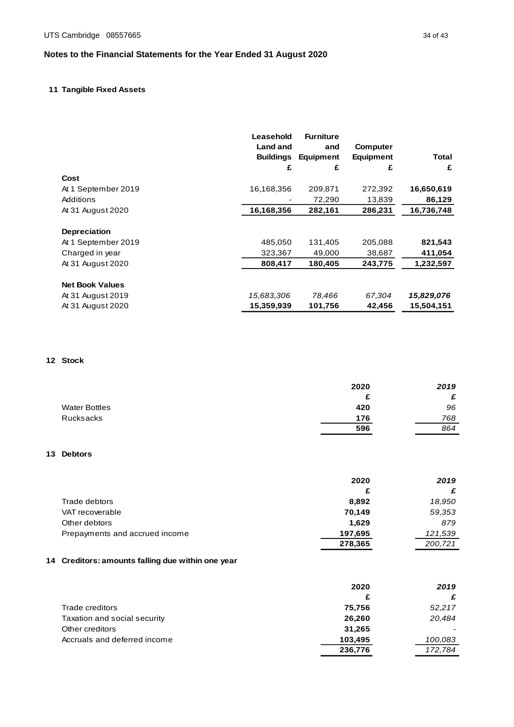# **1 1 Tangible Fixed Assets**

|                        | Leasehold                           | <b>Furniture</b> |                                     |            |
|------------------------|-------------------------------------|------------------|-------------------------------------|------------|
|                        | <b>Land and</b><br><b>Buildings</b> | and<br>Equipment | <b>Computer</b><br><b>Equipment</b> | Total      |
|                        | £                                   | £                | £                                   | £          |
| Cost                   |                                     |                  |                                     |            |
| At 1 September 2019    | 16,168,356                          | 209,871          | 272,392                             | 16,650,619 |
| Additions              |                                     | 72,290           | 13,839                              | 86,129     |
| At 31 August 2020      | 16,168,356                          | 282,161          | 286,231                             | 16,736,748 |
| Depreciation           |                                     |                  |                                     |            |
| At 1 September 2019    | 485.050                             | 131,405          | 205,088                             | 821,543    |
| Charged in year        | 323,367                             | 49,000           | 38,687                              | 411,054    |
| At 31 August 2020      | 808,417                             | 180,405          | 243,775                             | 1,232,597  |
| <b>Net Book Values</b> |                                     |                  |                                     |            |
| At 31 August 2019      | 15,683,306                          | 78,466           | 67,304                              | 15,829,076 |
| At 31 August 2020      | 15,359,939                          | 101,756          | 42,456                              | 15,504,151 |

# **1 2 Stock**

|                      | 2020 | 2019 |
|----------------------|------|------|
|                      | £    | £    |
| <b>Water Bottles</b> | 420  | 96   |
| Rucksacks            | 176  | 768  |
|                      | 596  | 864  |

# **1 3 Debtors**

|                                | 2020    | 2019    |
|--------------------------------|---------|---------|
|                                | £       | £       |
| Trade debtors                  | 8,892   | 18,950  |
| VAT recoverable                | 70,149  | 59,353  |
| Other debtors                  | 1.629   | 879     |
| Prepayments and accrued income | 197,695 | 121,539 |
|                                | 278,365 | 200,721 |

# **1 4 Creditors: amounts falling due within one year**

|                              | 2020    | 2019    |
|------------------------------|---------|---------|
|                              | £       | £       |
| Trade creditors              | 75,756  | 52,217  |
| Taxation and social security | 26,260  | 20,484  |
| Other creditors              | 31,265  |         |
| Accruals and deferred income | 103,495 | 100,083 |
|                              | 236,776 | 172,784 |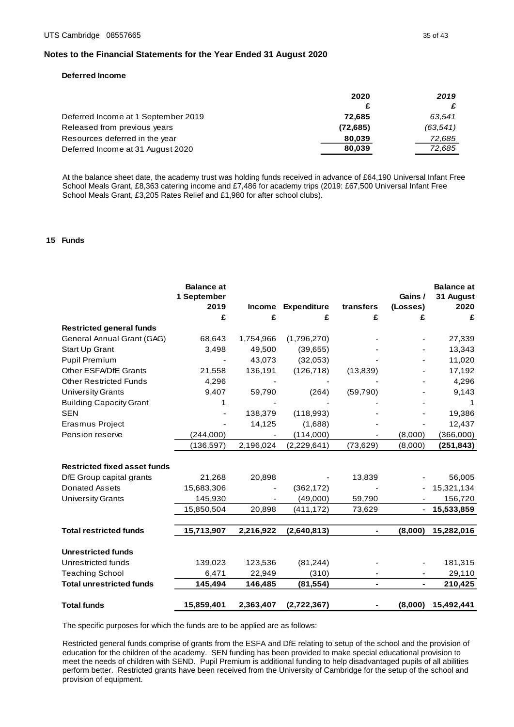### **Deferred Income**

|                                     | 2020     | 2019     |
|-------------------------------------|----------|----------|
|                                     |          |          |
| Deferred Income at 1 September 2019 | 72.685   | 63.541   |
| Released from previous years        | (72,685) | (63,541) |
| Resources deferred in the year      | 80,039   | 72,685   |
| Deferred Income at 31 August 2020   | 80,039   | 72.685   |
|                                     |          |          |

At the balance sheet date, the academy trust was holding funds received in advance of £64,190 Universal Infant Free School Meals Grant, £8,363 catering income and £7,486 for academy trips (2019: £67,500 Universal Infant Free School Meals Grant, £3,205 Rates Relief and £1,980 for after school clubs).

#### **1 5 Funds**

|                                     | <b>Balance at</b><br>1 September<br>2019<br>£ | <b>Income</b><br>£ | <b>Expenditure</b><br>£ | transfers<br>£ | Gains /<br>(Losses)<br>£ | <b>Balance at</b><br>31 August<br>2020<br>£ |
|-------------------------------------|-----------------------------------------------|--------------------|-------------------------|----------------|--------------------------|---------------------------------------------|
| <b>Restricted general funds</b>     |                                               |                    |                         |                |                          |                                             |
| General Annual Grant (GAG)          | 68,643                                        | 1,754,966          | (1,796,270)             |                |                          | 27,339                                      |
| Start Up Grant                      | 3,498                                         | 49,500             | (39,655)                |                |                          | 13,343                                      |
| <b>Pupil Premium</b>                |                                               | 43,073             | (32,053)                |                |                          | 11,020                                      |
| <b>Other ESFA/DfE Grants</b>        | 21,558                                        | 136,191            | (126, 718)              | (13, 839)      |                          | 17,192                                      |
| <b>Other Restricted Funds</b>       | 4,296                                         |                    |                         |                |                          | 4,296                                       |
| <b>University Grants</b>            | 9,407                                         | 59,790             | (264)                   | (59,790)       |                          | 9,143                                       |
| <b>Building Capacity Grant</b>      | 1                                             |                    |                         |                |                          | 1                                           |
| <b>SEN</b>                          |                                               | 138,379            | (118,993)               |                |                          | 19,386                                      |
| Erasmus Project                     |                                               | 14,125             | (1,688)                 |                |                          | 12,437                                      |
| Pension reserve                     | (244,000)                                     |                    | (114,000)               |                | (8,000)                  | (366,000)                                   |
|                                     | (136, 597)                                    | 2,196,024          | (2, 229, 641)           | (73, 629)      | (8,000)                  | (251, 843)                                  |
| <b>Restricted fixed asset funds</b> |                                               |                    |                         |                |                          |                                             |
| DfE Group capital grants            | 21,268                                        | 20,898             |                         | 13,839         |                          | 56,005                                      |
| Donated Assets                      | 15,683,306                                    |                    | (362, 172)              |                |                          | 15,321,134                                  |
| <b>University Grants</b>            | 145,930                                       |                    | (49,000)                | 59,790         | $\overline{\phantom{a}}$ | 156,720                                     |
|                                     | 15,850,504                                    | 20,898             | (411, 172)              | 73,629         |                          | 15,533,859                                  |
|                                     |                                               |                    |                         |                |                          |                                             |
| <b>Total restricted funds</b>       | 15,713,907                                    | 2,216,922          | (2,640,813)             |                | (8,000)                  | 15,282,016                                  |
| <b>Unrestricted funds</b>           |                                               |                    |                         |                |                          |                                             |
| Unrestricted funds                  | 139,023                                       | 123,536            | (81, 244)               |                |                          | 181,315                                     |
| <b>Teaching School</b>              | 6,471                                         | 22,949             | (310)                   |                |                          | 29,110                                      |
| <b>Total unrestricted funds</b>     | 145,494                                       | 146,485            | (81, 554)               | $\blacksquare$ | $\blacksquare$           | 210,425                                     |
| <b>Total funds</b>                  | 15,859,401                                    | 2,363,407          | (2,722,367)             |                | (8,000)                  | 15,492,441                                  |

The specific purposes for which the funds are to be applied are as follows:

Restricted general funds comprise of grants from the ESFA and DfE relating to setup of the school and the provision of education for the children of the academy. SEN funding has been provided to make special educational provision to meet the needs of children with SEND. Pupil Premium is additional funding to help disadvantaged pupils of all abilities perform better. Restricted grants have been received from the University of Cambridge for the setup of the school and provision of equipment.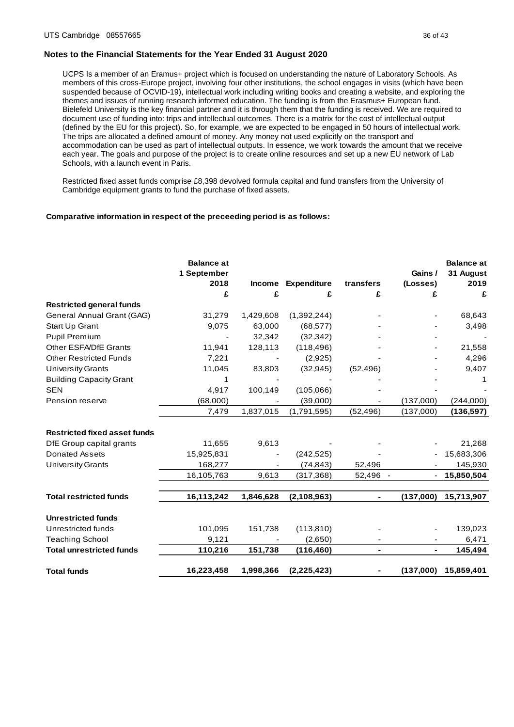UCPS Is a member of an Eramus+ project which is focused on understanding the nature of Laboratory Schools. As members of this cross-Europe project, involving four other institutions, the school engages in visits (which have been suspended because of OCVID-19), intellectual work including writing books and creating a website, and exploring the themes and issues of running research informed education. The funding is from the Erasmus+ European fund. Bielefeld University is the key financial partner and it is through them that the funding is received. We are required to document use of funding into: trips and intellectual outcomes. There is a matrix for the cost of intellectual output (defined by the EU for this project). So, for example, we are expected to be engaged in 50 hours of intellectual work. The trips are allocated a defined amount of money. Any money not used explicitly on the transport and accommodation can be used as part of intellectual outputs. In essence, we work towards the amount that we receive each year. The goals and purpose of the project is to create online resources and set up a new EU network of Lab Schools, with a launch event in Paris.

Restricted fixed asset funds comprise £8,398 devolved formula capital and fund transfers from the University of Cambridge equipment grants to fund the purchase of fixed assets.

#### **Comparative information in respect of the preceeding period is as follows:**

|                                     | <b>Balance at</b><br>1 September<br>2018 | <b>Income</b> | <b>Expenditure</b> | transfers | Gains /<br>(Losses) | <b>Balance at</b><br>31 August<br>2019 |
|-------------------------------------|------------------------------------------|---------------|--------------------|-----------|---------------------|----------------------------------------|
|                                     | £                                        | £             | £                  | £         | £                   | £                                      |
| <b>Restricted general funds</b>     |                                          |               |                    |           |                     |                                        |
| General Annual Grant (GAG)          | 31,279                                   | 1,429,608     | (1,392,244)        |           |                     | 68,643                                 |
| Start Up Grant                      | 9,075                                    | 63,000        | (68, 577)          |           |                     | 3,498                                  |
| <b>Pupil Premium</b>                |                                          | 32,342        | (32, 342)          |           |                     |                                        |
| Other ESFA/DfE Grants               | 11,941                                   | 128,113       | (118, 496)         |           |                     | 21,558                                 |
| <b>Other Restricted Funds</b>       | 7,221                                    |               | (2,925)            |           |                     | 4,296                                  |
| <b>University Grants</b>            | 11,045                                   | 83,803        | (32, 945)          | (52, 496) |                     | 9,407                                  |
| <b>Building Capacity Grant</b>      | 1                                        |               |                    |           |                     |                                        |
| <b>SEN</b>                          | 4,917                                    | 100,149       | (105,066)          |           |                     |                                        |
| Pension reserve                     | (68,000)                                 |               | (39,000)           |           | (137,000)           | (244,000)                              |
|                                     | 7,479                                    | 1,837,015     | (1,791,595)        | (52, 496) | (137,000)           | (136, 597)                             |
| <b>Restricted fixed asset funds</b> |                                          |               |                    |           |                     |                                        |
| DfE Group capital grants            | 11,655                                   | 9,613         |                    |           |                     | 21,268                                 |
| <b>Donated Assets</b>               | 15,925,831                               |               | (242, 525)         |           |                     | 15,683,306                             |
| <b>University Grants</b>            | 168,277                                  |               | (74, 843)          | 52,496    |                     | 145,930                                |
|                                     | 16,105,763                               | 9,613         | (317,368)          | 52,496 -  |                     | 15,850,504                             |
| <b>Total restricted funds</b>       | 16,113,242                               | 1,846,628     | (2,108,963)        | ÷         | (137,000)           | 15,713,907                             |
| <b>Unrestricted funds</b>           |                                          |               |                    |           |                     |                                        |
| Unrestricted funds                  | 101,095                                  | 151,738       | (113, 810)         |           |                     | 139,023                                |
| <b>Teaching School</b>              | 9,121                                    |               | (2,650)            |           |                     | 6,471                                  |
| <b>Total unrestricted funds</b>     | 110,216                                  | 151,738       | (116, 460)         | ÷         |                     | 145,494                                |
| <b>Total funds</b>                  | 16,223,458                               | 1,998,366     | (2, 225, 423)      |           | (137,000)           | 15,859,401                             |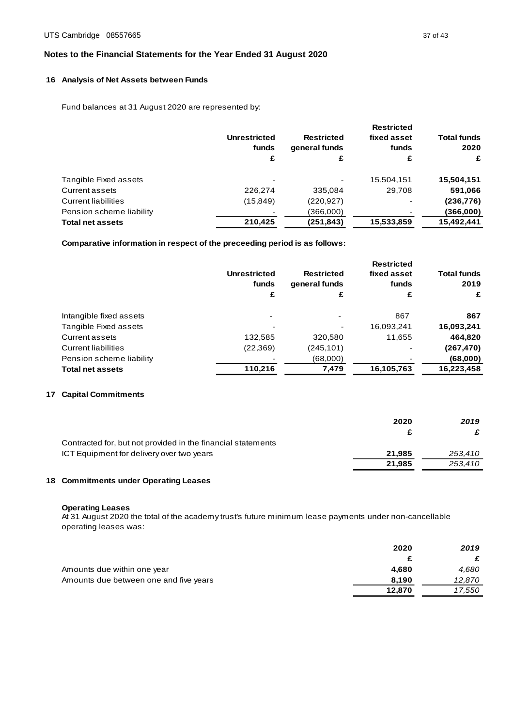# **1 6 Analysis of Net Assets between Funds**

Fund balances at 31 August 2020 are represented by:

|                            | <b>Unrestricted</b><br>funds | <b>Restricted</b><br>general funds | <b>Restricted</b><br>fixed asset<br>funds | <b>Total funds</b><br>2020 |
|----------------------------|------------------------------|------------------------------------|-------------------------------------------|----------------------------|
|                            | £                            | £                                  | £                                         | £                          |
| Tangible Fixed assets      |                              |                                    | 15,504,151                                | 15,504,151                 |
| Current assets             | 226,274                      | 335,084                            | 29.708                                    | 591,066                    |
| <b>Current liabilities</b> | (15, 849)                    | (220, 927)                         |                                           | (236, 776)                 |
| Pension scheme liability   |                              | (366,000)                          |                                           | (366,000)                  |
| <b>Total net assets</b>    | 210.425                      | (251, 843)                         | 15,533,859                                | 15,492,441                 |

**Comparative information in respect of the preceeding period is as follows:**

|                            | <b>Unrestricted</b><br>funds | <b>Restricted</b><br>general funds | <b>Restricted</b><br>fixed asset<br>funds | <b>Total funds</b><br>2019 |
|----------------------------|------------------------------|------------------------------------|-------------------------------------------|----------------------------|
|                            | £                            | £                                  | £                                         | £                          |
| Intangible fixed assets    | ٠                            | -                                  | 867                                       | 867                        |
| Tangible Fixed assets      |                              |                                    | 16,093,241                                | 16,093,241                 |
| Current assets             | 132,585                      | 320,580                            | 11,655                                    | 464,820                    |
| <b>Current liabilities</b> | (22, 369)                    | (245,101)                          |                                           | (267,470)                  |
| Pension scheme liability   |                              | (000, 83)                          |                                           | (68,000)                   |
| <b>Total net assets</b>    | 110.216                      | 7,479                              | 16,105,763                                | 16,223,458                 |
|                            |                              |                                    |                                           |                            |

# **17 Capital Commitments**

|                                                              | 2020   | 2019    |
|--------------------------------------------------------------|--------|---------|
|                                                              |        |         |
| Contracted for, but not provided in the financial statements |        |         |
| ICT Equipment for delivery over two years                    | 21.985 | 253.410 |
|                                                              | 21.985 | 253,410 |

# **1 8 Commitments under Operating Leases** 1

### **Operating Leases**

At 31 August 2020 the total of the academy trust's future minimum lease payments under non-cancellable operating leases was:

|                                        | 2020   | 2019   |
|----------------------------------------|--------|--------|
|                                        |        |        |
| Amounts due within one year            | 4.680  | 4.680  |
| Amounts due between one and five years | 8.190  | 12,870 |
|                                        | 12.870 | 17,550 |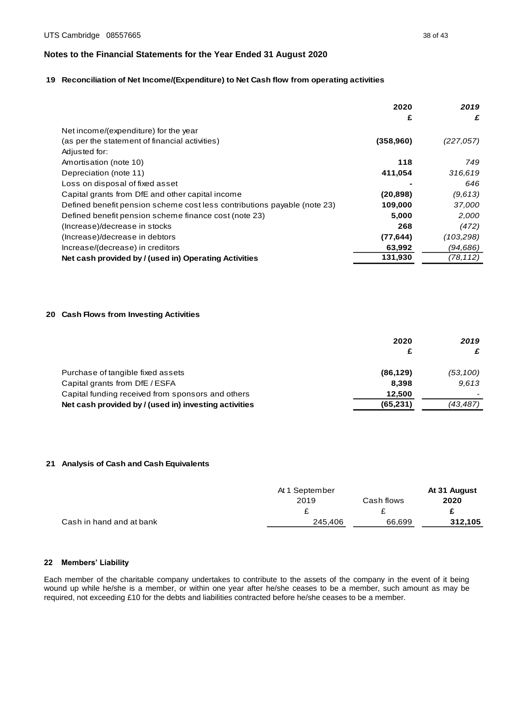# **1 9 Reconciliation of Net Income/(Expenditure) to Net Cash flow from operating activities**

|                                                                          | 2020       | 2019      |
|--------------------------------------------------------------------------|------------|-----------|
|                                                                          | £          | £         |
| Net income/(expenditure) for the year                                    |            |           |
| (as per the statement of financial activities)                           | (358, 960) | (227,057) |
| Adjusted for:                                                            |            |           |
| Amortisation (note 10)                                                   | 118        | 749       |
| Depreciation (note 11)                                                   | 411,054    | 316,619   |
| Loss on disposal of fixed asset                                          |            | 646       |
| Capital grants from DfE and other capital income                         | (20, 898)  | (9,613)   |
| Defined benefit pension scheme cost less contributions payable (note 23) | 109,000    | 37,000    |
| Defined benefit pension scheme finance cost (note 23)                    | 5,000      | 2,000     |
| (Increase)/decrease in stocks                                            | 268        | (472)     |
| (Increase)/decrease in debtors                                           | (77, 644)  | (103,298) |
| Increase/(decrease) in creditors                                         | 63,992     | (94,686)  |
| Net cash provided by / (used in) Operating Activities                    | 131,930    | (78, 112) |

# **2 0 Cash Flows from Investing Activities**

|                                                       | 2020<br>£ | 2019      |
|-------------------------------------------------------|-----------|-----------|
| Purchase of tangible fixed assets                     | (86, 129) | (53, 100) |
| Capital grants from DfE / ESFA                        | 8.398     | 9.613     |
| Capital funding received from sponsors and others     | 12.500    |           |
| Net cash provided by / (used in) investing activities | (65, 231) | (43,487)  |

# **2 1 Analysis of Cash and Cash Equivalents**

|                          | At 1 September |            | At 31 August |
|--------------------------|----------------|------------|--------------|
|                          | 2019           | Cash flows | 2020         |
|                          |                |            |              |
| Cash in hand and at bank | 245.406        | 66,699     | 312,105      |

## **22 Members' Liability**

Each member of the charitable company undertakes to contribute to the assets of the company in the event of it being wound up while he/she is a member, or within one year after he/she ceases to be a member, such amount as may be required, not exceeding £10 for the debts and liabilities contracted before he/she ceases to be a member.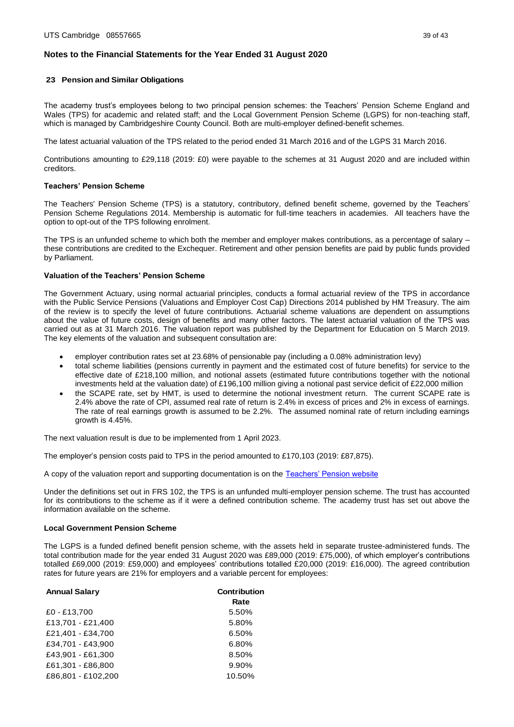### **23 Pension and Similar Obligations**

The academy trust's employees belong to two principal pension schemes: the Teachers' Pension Scheme England and Wales (TPS) for academic and related staff; and the Local Government Pension Scheme (LGPS) for non-teaching staff, which is managed by Cambridgeshire County Council. Both are multi-employer defined-benefit schemes.

The latest actuarial valuation of the TPS related to the period ended 31 March 2016 and of the LGPS 31 March 2016.

Contributions amounting to £29,118 (2019: £0) were payable to the schemes at 31 August 2020 and are included within creditors.

### **Teachers' Pension Scheme**

The Teachers' Pension Scheme (TPS) is a statutory, contributory, defined benefit scheme, governed by the Teachers' Pension Scheme Regulations 2014. Membership is automatic for full-time teachers in academies. All teachers have the option to opt-out of the TPS following enrolment.

The TPS is an unfunded scheme to which both the member and employer makes contributions, as a percentage of salary – these contributions are credited to the Exchequer. Retirement and other pension benefits are paid by public funds provided by Parliament.

## **Valuation of the Teachers' Pension Scheme**

The Government Actuary, using normal actuarial principles, conducts a formal actuarial review of the TPS in accordance with the Public Service Pensions (Valuations and Employer Cost Cap) Directions 2014 published by HM Treasury. The aim of the review is to specify the level of future contributions. Actuarial scheme valuations are dependent on assumptions about the value of future costs, design of benefits and many other factors. The latest actuarial valuation of the TPS was carried out as at 31 March 2016. The valuation report was published by the Department for Education on 5 March 2019. The key elements of the valuation and subsequent consultation are:

- employer contribution rates set at 23.68% of pensionable pay (including a 0.08% administration levy)
- total scheme liabilities (pensions currently in payment and the estimated cost of future benefits) for service to the effective date of £218,100 million, and notional assets (estimated future contributions together with the notional investments held at the valuation date) of £196,100 million giving a notional past service deficit of £22,000 million
- the SCAPE rate, set by HMT, is used to determine the notional investment return. The current SCAPE rate is 2.4% above the rate of CPI, assumed real rate of return is 2.4% in excess of prices and 2% in excess of earnings. The rate of real earnings growth is assumed to be 2.2%. The assumed nominal rate of return including earnings growth is 4.45%.

The next valuation result is due to be implemented from 1 April 2023.

The employer's pension costs paid to TPS in the period amounted to £170,103 (2019: £87,875).

A copy of the valuation report and supporting documentation is on th[e Teachers' Pension website](https://www.teacherspensions.co.uk/news/employers/2014/06/publication-of-the-valuation-report.aspx)

Under the definitions set out in FRS 102, the TPS is an unfunded multi-employer pension scheme. The trust has accounted for its contributions to the scheme as if it were a defined contribution scheme. The academy trust has set out above the information available on the scheme.

#### **Local Government Pension Scheme**

The LGPS is a funded defined benefit pension scheme, with the assets held in separate trustee-administered funds. The total contribution made for the year ended 31 August 2020 was £89,000 (2019: £75,000), of which employer's contributions totalled £69,000 (2019: £59,000) and employees' contributions totalled £20,000 (2019: £16,000). The agreed contribution rates for future years are 21% for employers and a variable percent for employees:

| <b>Annual Salary</b> | <b>Contribution</b> |
|----------------------|---------------------|
|                      | Rate                |
| £0 - £13,700         | 5.50%               |
| £13,701 - £21,400    | 5.80%               |
| £21.401 - £34.700    | 6.50%               |
| £34.701 - £43.900    | 6.80%               |
| £43,901 - £61,300    | 8.50%               |
| £61,301 - £86,800    | 9.90%               |
| £86.801 - £102.200   | 10.50%              |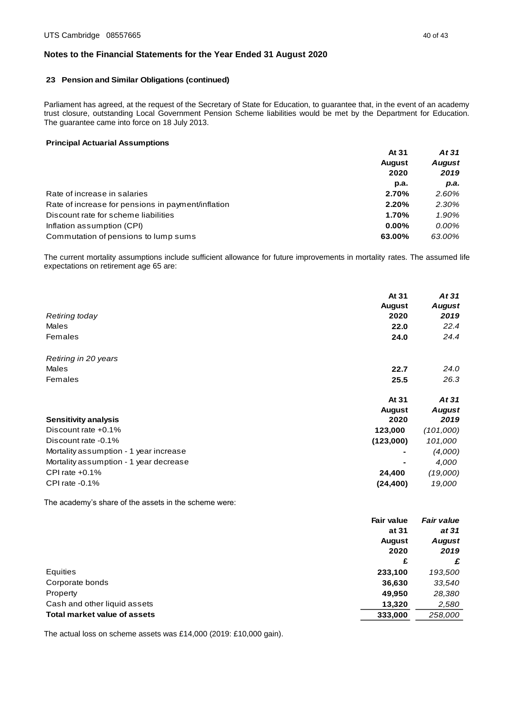# **23 Pension and Similar Obligations (continued)**

Parliament has agreed, at the request of the Secretary of State for Education, to guarantee that, in the event of an academy trust closure, outstanding Local Government Pension Scheme liabilities would be met by the Department for Education. The guarantee came into force on 18 July 2013.

## **Principal Actuarial Assumptions**

|                                                    | At 31         | At 31         |
|----------------------------------------------------|---------------|---------------|
|                                                    | <b>August</b> | <b>August</b> |
|                                                    | 2020          | 2019          |
|                                                    | p.a.          | р.а.          |
| Rate of increase in salaries                       | 2.70%         | 2.60%         |
| Rate of increase for pensions in payment/inflation | 2.20%         | 2.30%         |
| Discount rate for scheme liabilities               | 1.70%         | 1.90%         |
| Inflation assumption (CPI)                         | $0.00\%$      | 0.00%         |
| Commutation of pensions to lump sums               | 63.00%        | 63.00%        |

The current mortality assumptions include sufficient allowance for future improvements in mortality rates. The assumed life expectations on retirement age 65 are:

|                                        | At 31         | At 31         |
|----------------------------------------|---------------|---------------|
|                                        | <b>August</b> | <b>August</b> |
| Retiring today                         | 2020          | 2019          |
| Males                                  | 22.0          | 22.4          |
| Females                                | 24.0          | 24.4          |
| Retiring in 20 years                   |               |               |
| <b>Males</b>                           | 22.7          | 24.0          |
| Females                                | 25.5          | 26.3          |
|                                        | At 31         | At 31         |
|                                        | <b>August</b> | <b>August</b> |
| <b>Sensitivity analysis</b>            | 2020          | 2019          |
| Discount rate +0.1%                    | 123,000       | (101,000)     |
| Discount rate -0.1%                    | (123,000)     | 101,000       |
| Mortality assumption - 1 year increase |               | (4,000)       |
| Mortality assumption - 1 year decrease |               | 4,000         |
| CPI rate $+0.1\%$                      | 24,400        | (19,000)      |
| CPI rate $-0.1\%$                      | (24, 400)     | 19,000        |

The academy's share of the assets in the scheme were:

|                                     | <b>Fair value</b> | <b>Fair value</b>     |  |
|-------------------------------------|-------------------|-----------------------|--|
|                                     | at 31             | at 31                 |  |
|                                     | <b>August</b>     | <b>August</b><br>2019 |  |
|                                     | 2020              |                       |  |
|                                     | £                 | £                     |  |
| Equities                            | 233,100           | 193,500               |  |
| Corporate bonds                     | 36,630            | 33,540                |  |
| Property                            | 49,950            | 28,380                |  |
| Cash and other liquid assets        | 13,320            | 2,580                 |  |
| <b>Total market value of assets</b> | 333,000           | 258,000               |  |
|                                     |                   |                       |  |

The actual loss on scheme assets was £14,000 (2019: £10,000 gain).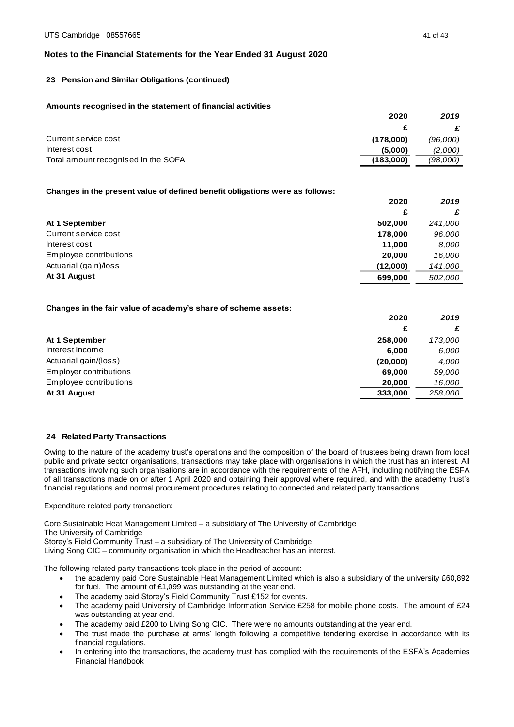# **23 Pension and Similar Obligations (continued)**

## **Amounts recognised in the statement of financial activities**

|                                     | 2020      | 2019     |
|-------------------------------------|-----------|----------|
|                                     |           |          |
| Current service cost                | (178,000) | (96,000) |
| Interest cost                       | (5,000)   | (2,000)  |
| Total amount recognised in the SOFA | (183,000) | (98,000) |

## **Changes in the present value of defined benefit obligations were as follows:**

|                        | 2020     | 2019    |
|------------------------|----------|---------|
|                        | £        | £       |
| At 1 September         | 502,000  | 241,000 |
| Current service cost   | 178,000  | 96,000  |
| Interest cost          | 11.000   | 8.000   |
| Employee contributions | 20,000   | 16.000  |
| Actuarial (gain)/loss  | (12,000) | 141,000 |
| At 31 August           | 699,000  | 502.000 |

## **Changes in the fair value of academy's share of scheme assets:**

|                        | 2020     | 2019    |
|------------------------|----------|---------|
|                        | £        | £       |
| At 1 September         | 258,000  | 173,000 |
| Interest income        | 6.000    | 6,000   |
| Actuarial gain/(loss)  | (20,000) | 4.000   |
| Employer contributions | 69,000   | 59,000  |
| Employee contributions | 20.000   | 16,000  |
| At 31 August           | 333,000  | 258.000 |

#### **24 Related Party Transactions**

Owing to the nature of the academy trust's operations and the composition of the board of trustees being drawn from local public and private sector organisations, transactions may take place with organisations in which the trust has an interest. All transactions involving such organisations are in accordance with the requirements of the AFH, including notifying the ESFA of all transactions made on or after 1 April 2020 and obtaining their approval where required, and with the academy trust's financial regulations and normal procurement procedures relating to connected and related party transactions.

Expenditure related party transaction:

Core Sustainable Heat Management Limited – a subsidiary of The University of Cambridge

The University of Cambridge

Storey's Field Community Trust – a subsidiary of The University of Cambridge

Living Song CIC – community organisation in which the Headteacher has an interest.

The following related party transactions took place in the period of account:

- the academy paid Core Sustainable Heat Management Limited which is also a subsidiary of the university £60,892 for fuel. The amount of £1,099 was outstanding at the year end.
- The academy paid Storey's Field Community Trust £152 for events.
- The academy paid University of Cambridge Information Service £258 for mobile phone costs. The amount of £24 was outstanding at year end.
- The academy paid £200 to Living Song CIC. There were no amounts outstanding at the year end.
- The trust made the purchase at arms' length following a competitive tendering exercise in accordance with its financial regulations.
- In entering into the transactions, the academy trust has complied with the requirements of the ESFA's Academies Financial Handbook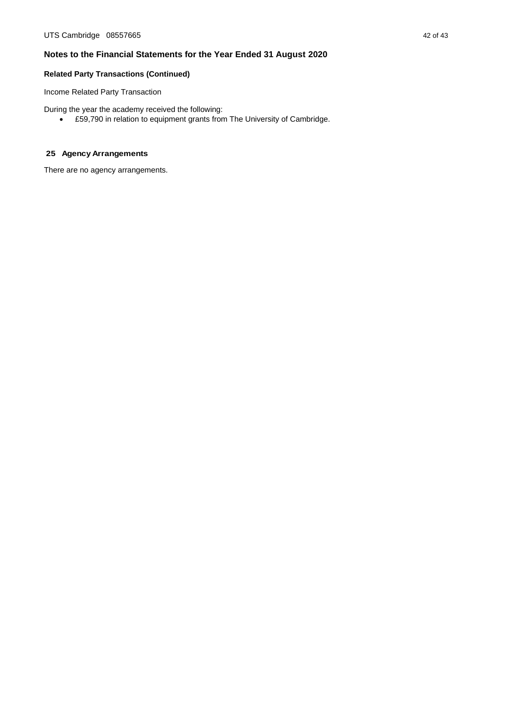# **Related Party Transactions (Continued)**

Income Related Party Transaction

During the year the academy received the following:

• £59,790 in relation to equipment grants from The University of Cambridge.

# **25 Agency Arrangements**

There are no agency arrangements.